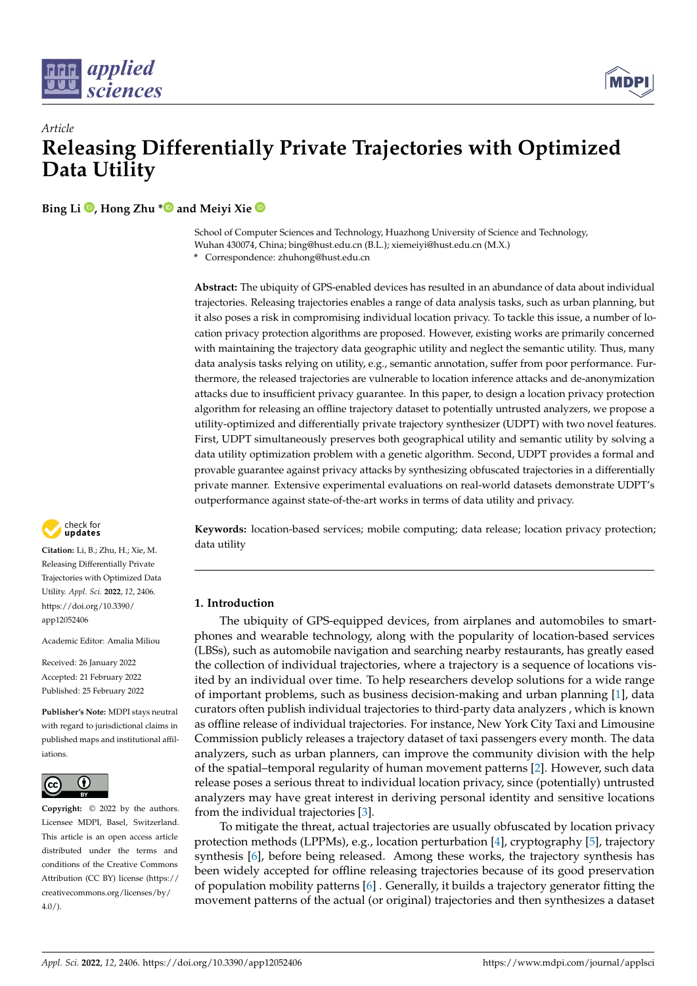

# *Article* **Releasing Differentially Private Trajectories with Optimized Data Utility**

**Bing Li [,](https://orcid.org/0000-0003-4506-1643) Hong Zhu [\\*](https://orcid.org/0000-0001-9815-3934) and Meiyi Xie**

School of Computer Sciences and Technology, Huazhong University of Science and Technology, Wuhan 430074, China; bing@hust.edu.cn (B.L.); xiemeiyi@hust.edu.cn (M.X.)

**\*** Correspondence: zhuhong@hust.edu.cn

**Abstract:** The ubiquity of GPS-enabled devices has resulted in an abundance of data about individual trajectories. Releasing trajectories enables a range of data analysis tasks, such as urban planning, but it also poses a risk in compromising individual location privacy. To tackle this issue, a number of location privacy protection algorithms are proposed. However, existing works are primarily concerned with maintaining the trajectory data geographic utility and neglect the semantic utility. Thus, many data analysis tasks relying on utility, e.g., semantic annotation, suffer from poor performance. Furthermore, the released trajectories are vulnerable to location inference attacks and de-anonymization attacks due to insufficient privacy guarantee. In this paper, to design a location privacy protection algorithm for releasing an offline trajectory dataset to potentially untrusted analyzers, we propose a utility-optimized and differentially private trajectory synthesizer (UDPT) with two novel features. First, UDPT simultaneously preserves both geographical utility and semantic utility by solving a data utility optimization problem with a genetic algorithm. Second, UDPT provides a formal and provable guarantee against privacy attacks by synthesizing obfuscated trajectories in a differentially private manner. Extensive experimental evaluations on real-world datasets demonstrate UDPT's outperformance against state-of-the-art works in terms of data utility and privacy.

**Keywords:** location-based services; mobile computing; data release; location privacy protection; data utility

# **1. Introduction**

The ubiquity of GPS-equipped devices, from airplanes and automobiles to smartphones and wearable technology, along with the popularity of location-based services (LBSs), such as automobile navigation and searching nearby restaurants, has greatly eased the collection of individual trajectories, where a trajectory is a sequence of locations visited by an individual over time. To help researchers develop solutions for a wide range of important problems, such as business decision-making and urban planning [\[1\]](#page-28-0), data curators often publish individual trajectories to third-party data analyzers , which is known as offline release of individual trajectories. For instance, New York City Taxi and Limousine Commission publicly releases a trajectory dataset of taxi passengers every month. The data analyzers, such as urban planners, can improve the community division with the help of the spatial–temporal regularity of human movement patterns [\[2\]](#page-28-1). However, such data release poses a serious threat to individual location privacy, since (potentially) untrusted analyzers may have great interest in deriving personal identity and sensitive locations from the individual trajectories [\[3\]](#page-28-2).

To mitigate the threat, actual trajectories are usually obfuscated by location privacy protection methods (LPPMs), e.g., location perturbation [\[4\]](#page-29-0), cryptography [\[5\]](#page-29-1), trajectory synthesis [\[6\]](#page-29-2), before being released. Among these works, the trajectory synthesis has been widely accepted for offline releasing trajectories because of its good preservation of population mobility patterns [\[6\]](#page-29-2) . Generally, it builds a trajectory generator fitting the movement patterns of the actual (or original) trajectories and then synthesizes a dataset



**Citation:** Li, B.; Zhu, H.; Xie, M. Releasing Differentially Private Trajectories with Optimized Data Utility. *Appl. Sci.* **2022**, *12*, 2406. [https://doi.org/10.3390/](https://doi.org/10.3390/app12052406) [app12052406](https://doi.org/10.3390/app12052406)

Academic Editor: Amalia Miliou

Received: 26 January 2022 Accepted: 21 February 2022 Published: 25 February 2022

**Publisher's Note:** MDPI stays neutral with regard to jurisdictional claims in published maps and institutional affiliations.



**Copyright:** © 2022 by the authors. Licensee MDPI, Basel, Switzerland. This article is an open access article distributed under the terms and conditions of the Creative Commons Attribution (CC BY) license [\(https://](https://creativecommons.org/licenses/by/4.0/) [creativecommons.org/licenses/by/](https://creativecommons.org/licenses/by/4.0/)  $4.0/$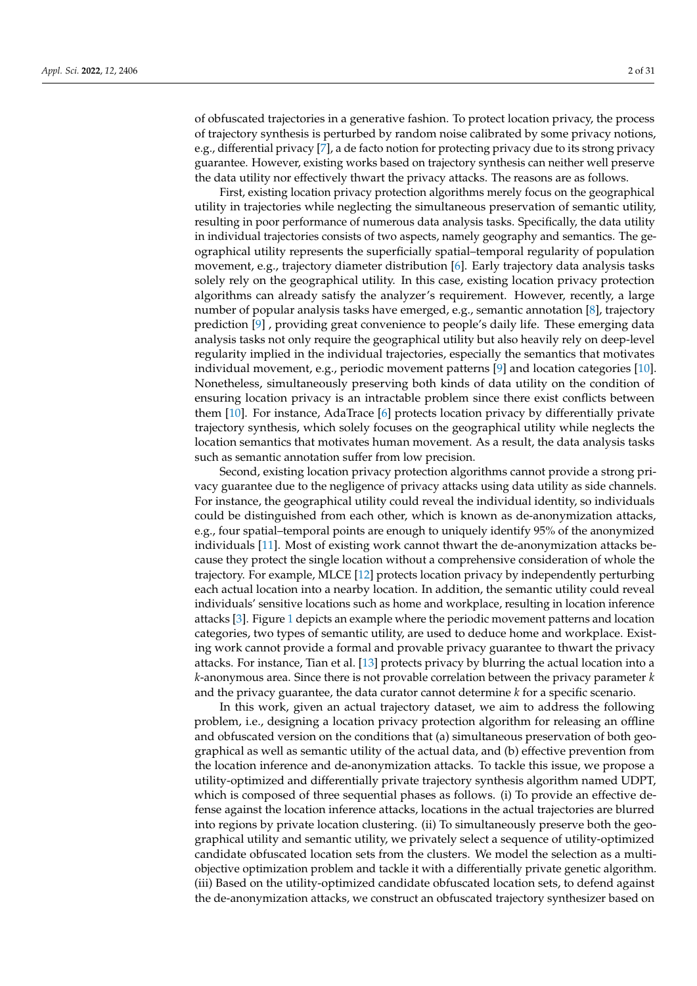of obfuscated trajectories in a generative fashion. To protect location privacy, the process of trajectory synthesis is perturbed by random noise calibrated by some privacy notions, e.g., differential privacy [\[7\]](#page-29-3), a de facto notion for protecting privacy due to its strong privacy guarantee. However, existing works based on trajectory synthesis can neither well preserve the data utility nor effectively thwart the privacy attacks. The reasons are as follows.

First, existing location privacy protection algorithms merely focus on the geographical utility in trajectories while neglecting the simultaneous preservation of semantic utility, resulting in poor performance of numerous data analysis tasks. Specifically, the data utility in individual trajectories consists of two aspects, namely geography and semantics. The geographical utility represents the superficially spatial–temporal regularity of population movement, e.g., trajectory diameter distribution [\[6\]](#page-29-2). Early trajectory data analysis tasks solely rely on the geographical utility. In this case, existing location privacy protection algorithms can already satisfy the analyzer's requirement. However, recently, a large number of popular analysis tasks have emerged, e.g., semantic annotation [\[8\]](#page-29-4), trajectory prediction [\[9\]](#page-29-5) , providing great convenience to people's daily life. These emerging data analysis tasks not only require the geographical utility but also heavily rely on deep-level regularity implied in the individual trajectories, especially the semantics that motivates individual movement, e.g., periodic movement patterns [\[9\]](#page-29-5) and location categories [\[10\]](#page-29-6). Nonetheless, simultaneously preserving both kinds of data utility on the condition of ensuring location privacy is an intractable problem since there exist conflicts between them [\[10\]](#page-29-6). For instance, AdaTrace [\[6\]](#page-29-2) protects location privacy by differentially private trajectory synthesis, which solely focuses on the geographical utility while neglects the location semantics that motivates human movement. As a result, the data analysis tasks such as semantic annotation suffer from low precision.

Second, existing location privacy protection algorithms cannot provide a strong privacy guarantee due to the negligence of privacy attacks using data utility as side channels. For instance, the geographical utility could reveal the individual identity, so individuals could be distinguished from each other, which is known as de-anonymization attacks, e.g., four spatial–temporal points are enough to uniquely identify 95% of the anonymized individuals [\[11\]](#page-29-7). Most of existing work cannot thwart the de-anonymization attacks because they protect the single location without a comprehensive consideration of whole the trajectory. For example, MLCE [\[12\]](#page-29-8) protects location privacy by independently perturbing each actual location into a nearby location. In addition, the semantic utility could reveal individuals' sensitive locations such as home and workplace, resulting in location inference attacks [\[3\]](#page-28-2). Figure [1](#page-2-0) depicts an example where the periodic movement patterns and location categories, two types of semantic utility, are used to deduce home and workplace. Existing work cannot provide a formal and provable privacy guarantee to thwart the privacy attacks. For instance, Tian et al. [\[13\]](#page-29-9) protects privacy by blurring the actual location into a *k*-anonymous area. Since there is not provable correlation between the privacy parameter *k* and the privacy guarantee, the data curator cannot determine *k* for a specific scenario.

In this work, given an actual trajectory dataset, we aim to address the following problem, i.e., designing a location privacy protection algorithm for releasing an offline and obfuscated version on the conditions that (a) simultaneous preservation of both geographical as well as semantic utility of the actual data, and (b) effective prevention from the location inference and de-anonymization attacks. To tackle this issue, we propose a utility-optimized and differentially private trajectory synthesis algorithm named UDPT, which is composed of three sequential phases as follows. (i) To provide an effective defense against the location inference attacks, locations in the actual trajectories are blurred into regions by private location clustering. (ii) To simultaneously preserve both the geographical utility and semantic utility, we privately select a sequence of utility-optimized candidate obfuscated location sets from the clusters. We model the selection as a multiobjective optimization problem and tackle it with a differentially private genetic algorithm. (iii) Based on the utility-optimized candidate obfuscated location sets, to defend against the de-anonymization attacks, we construct an obfuscated trajectory synthesizer based on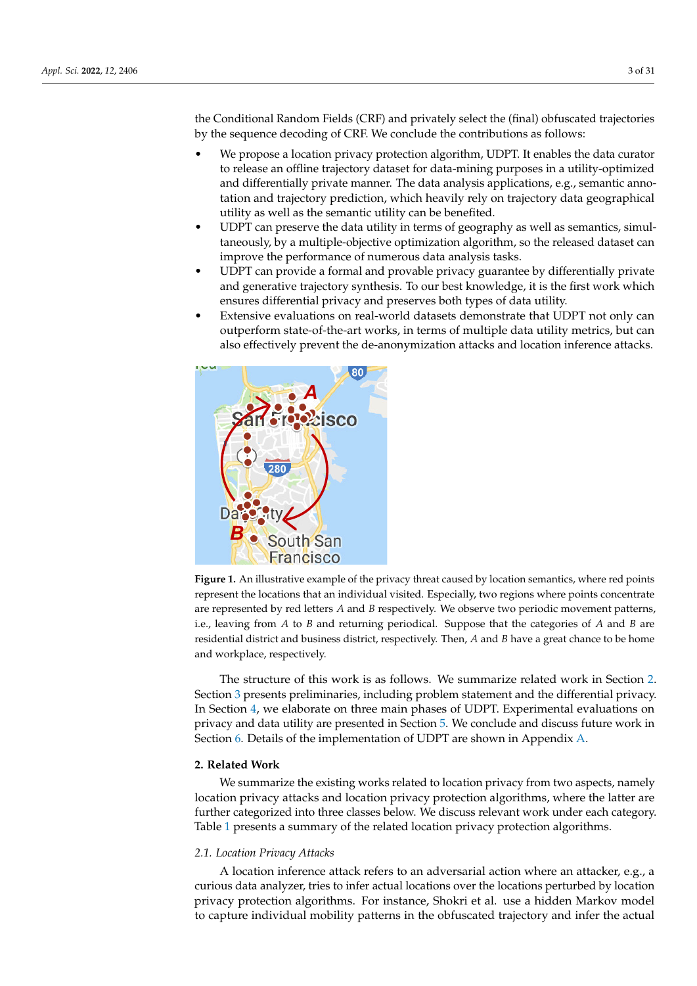the Conditional Random Fields (CRF) and privately select the (final) obfuscated trajectories by the sequence decoding of CRF. We conclude the contributions as follows:

- We propose a location privacy protection algorithm, UDPT. It enables the data curator to release an offline trajectory dataset for data-mining purposes in a utility-optimized and differentially private manner. The data analysis applications, e.g., semantic annotation and trajectory prediction, which heavily rely on trajectory data geographical utility as well as the semantic utility can be benefited.
- UDPT can preserve the data utility in terms of geography as well as semantics, simultaneously, by a multiple-objective optimization algorithm, so the released dataset can improve the performance of numerous data analysis tasks.
- UDPT can provide a formal and provable privacy guarantee by differentially private and generative trajectory synthesis. To our best knowledge, it is the first work which ensures differential privacy and preserves both types of data utility.
- Extensive evaluations on real-world datasets demonstrate that UDPT not only can outperform state-of-the-art works, in terms of multiple data utility metrics, but can also effectively prevent the de-anonymization attacks and location inference attacks.

<span id="page-2-0"></span>

**Figure 1.** An illustrative example of the privacy threat caused by location semantics, where red points represent the locations that an individual visited. Especially, two regions where points concentrate are represented by red letters *A* and *B* respectively. We observe two periodic movement patterns, i.e., leaving from *A* to *B* and returning periodical. Suppose that the categories of *A* and *B* are residential district and business district, respectively. Then, *A* and *B* have a great chance to be home and workplace, respectively.

The structure of this work is as follows. We summarize related work in Section [2.](#page-2-1) Section [3](#page-6-0) presents preliminaries, including problem statement and the differential privacy. In Section [4,](#page-8-0) we elaborate on three main phases of UDPT. Experimental evaluations on privacy and data utility are presented in Section [5.](#page-18-0) We conclude and discuss future work in Section [6.](#page-25-0) Details of the implementation of UDPT are shown in Appendix [A.](#page-26-0)

#### <span id="page-2-1"></span>**2. Related Work**

We summarize the existing works related to location privacy from two aspects, namely location privacy attacks and location privacy protection algorithms, where the latter are further categorized into three classes below. We discuss relevant work under each category. Table [1](#page-3-0) presents a summary of the related location privacy protection algorithms.

#### *2.1. Location Privacy Attacks*

A location inference attack refers to an adversarial action where an attacker, e.g., a curious data analyzer, tries to infer actual locations over the locations perturbed by location privacy protection algorithms. For instance, Shokri et al. use a hidden Markov model to capture individual mobility patterns in the obfuscated trajectory and infer the actual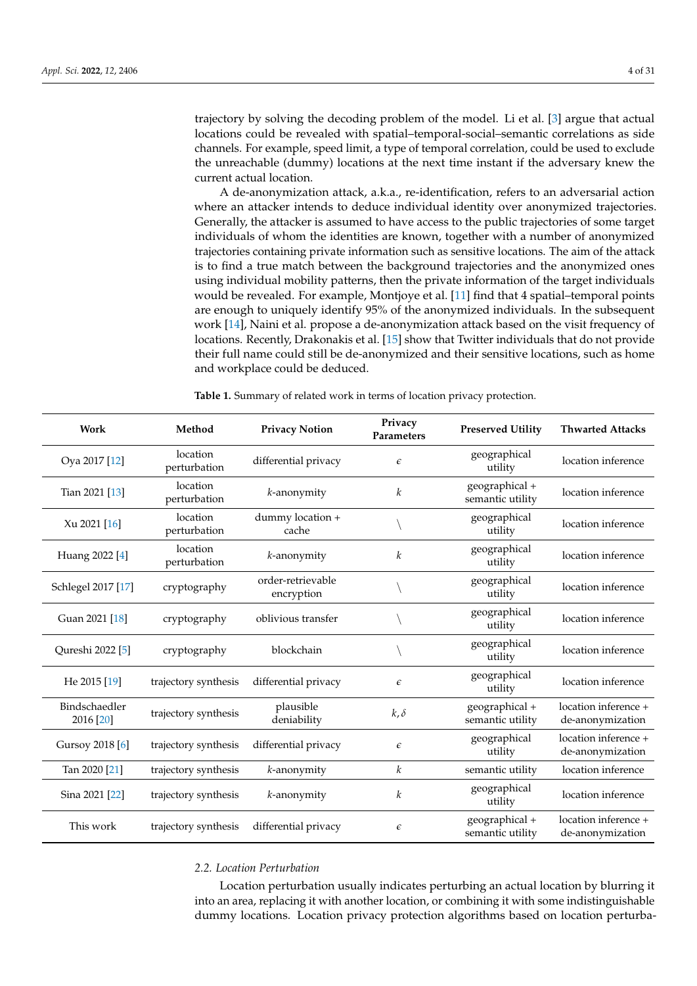trajectory by solving the decoding problem of the model. Li et al. [\[3\]](#page-28-2) argue that actual locations could be revealed with spatial–temporal-social–semantic correlations as side channels. For example, speed limit, a type of temporal correlation, could be used to exclude the unreachable (dummy) locations at the next time instant if the adversary knew the current actual location.

A de-anonymization attack, a.k.a., re-identification, refers to an adversarial action where an attacker intends to deduce individual identity over anonymized trajectories. Generally, the attacker is assumed to have access to the public trajectories of some target individuals of whom the identities are known, together with a number of anonymized trajectories containing private information such as sensitive locations. The aim of the attack is to find a true match between the background trajectories and the anonymized ones using individual mobility patterns, then the private information of the target individuals would be revealed. For example, Montjoye et al. [\[11\]](#page-29-7) find that 4 spatial–temporal points are enough to uniquely identify 95% of the anonymized individuals. In the subsequent work [\[14\]](#page-29-10), Naini et al. propose a de-anonymization attack based on the visit frequency of locations. Recently, Drakonakis et al. [\[15\]](#page-29-11) show that Twitter individuals that do not provide their full name could still be de-anonymized and their sensitive locations, such as home and workplace could be deduced.

<span id="page-3-0"></span>**Table 1.** Summary of related work in terms of location privacy protection.

| Work                       | Method                   | <b>Privacy Notion</b>           | Privacy<br>Parameters | <b>Preserved Utility</b>           | <b>Thwarted Attacks</b>                  |
|----------------------------|--------------------------|---------------------------------|-----------------------|------------------------------------|------------------------------------------|
| Oya 2017 [12]              | location<br>perturbation | differential privacy            | $\epsilon$            | geographical<br>utility            | location inference                       |
| Tian 2021 [13]             | location<br>perturbation | $k$ -anonymity                  | k                     | geographical +<br>semantic utility | location inference                       |
| Xu 2021 [16]               | location<br>perturbation | dummy location +<br>cache       |                       | geographical<br>utility            | location inference                       |
| Huang 2022 [4]             | location<br>perturbation | k-anonymity                     | $\boldsymbol{k}$      | geographical<br>utility            | location inference                       |
| Schlegel 2017 [17]         | cryptography             | order-retrievable<br>encryption |                       | geographical<br>utility            | location inference                       |
| Guan 2021 [18]             | cryptography             | oblivious transfer              |                       | geographical<br>utility            | location inference                       |
| Qureshi 2022 [5]           | cryptography             | blockchain                      |                       | geographical<br>utility            | location inference                       |
| He 2015 [19]               | trajectory synthesis     | differential privacy            | $\epsilon$            | geographical<br>utility            | location inference                       |
| Bindschaedler<br>2016 [20] | trajectory synthesis     | plausible<br>deniability        | $k, \delta$           | geographical +<br>semantic utility | location inference +<br>de-anonymization |
| Gursoy 2018 [6]            | trajectory synthesis     | differential privacy            | $\epsilon$            | geographical<br>utility            | location inference +<br>de-anonymization |
| Tan 2020 [21]              | trajectory synthesis     | $k$ -anonymity                  | $\boldsymbol{k}$      | semantic utility                   | location inference                       |
| Sina 2021 [22]             | trajectory synthesis     | $k$ -anonymity                  | k                     | geographical<br>utility            | location inference                       |
| This work                  | trajectory synthesis     | differential privacy            | $\epsilon$            | geographical +<br>semantic utility | location inference +<br>de-anonymization |

#### *2.2. Location Perturbation*

Location perturbation usually indicates perturbing an actual location by blurring it into an area, replacing it with another location, or combining it with some indistinguishable dummy locations. Location privacy protection algorithms based on location perturba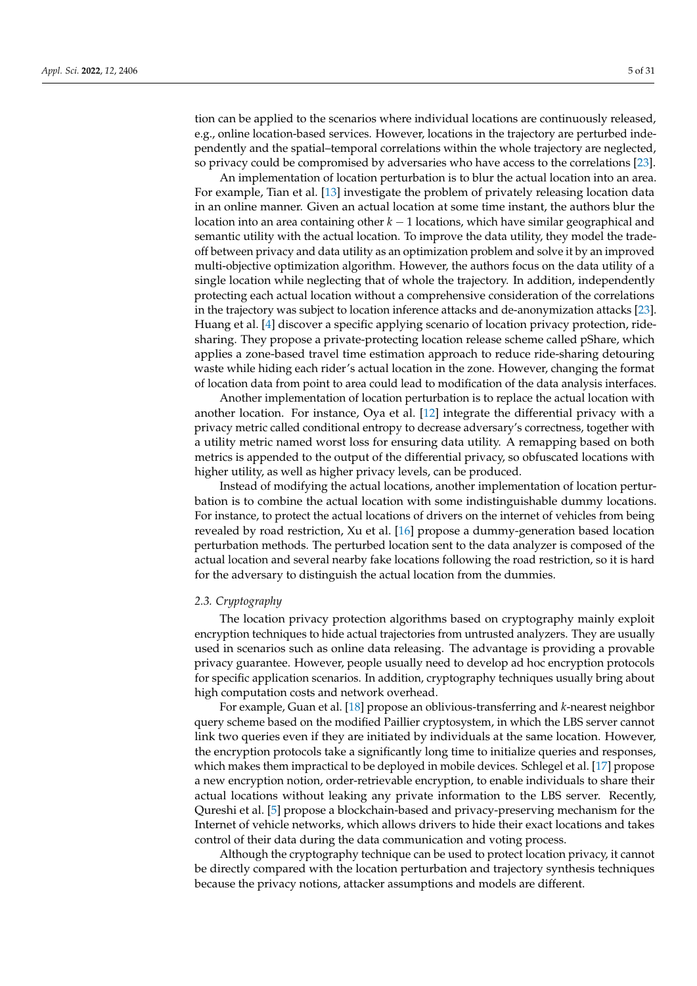tion can be applied to the scenarios where individual locations are continuously released, e.g., online location-based services. However, locations in the trajectory are perturbed independently and the spatial–temporal correlations within the whole trajectory are neglected, so privacy could be compromised by adversaries who have access to the correlations [\[23\]](#page-29-19).

An implementation of location perturbation is to blur the actual location into an area. For example, Tian et al. [\[13\]](#page-29-9) investigate the problem of privately releasing location data in an online manner. Given an actual location at some time instant, the authors blur the location into an area containing other *k* − 1 locations, which have similar geographical and semantic utility with the actual location. To improve the data utility, they model the tradeoff between privacy and data utility as an optimization problem and solve it by an improved multi-objective optimization algorithm. However, the authors focus on the data utility of a single location while neglecting that of whole the trajectory. In addition, independently protecting each actual location without a comprehensive consideration of the correlations in the trajectory was subject to location inference attacks and de-anonymization attacks [\[23\]](#page-29-19). Huang et al. [\[4\]](#page-29-0) discover a specific applying scenario of location privacy protection, ridesharing. They propose a private-protecting location release scheme called pShare, which applies a zone-based travel time estimation approach to reduce ride-sharing detouring waste while hiding each rider's actual location in the zone. However, changing the format of location data from point to area could lead to modification of the data analysis interfaces.

Another implementation of location perturbation is to replace the actual location with another location. For instance, Oya et al. [\[12\]](#page-29-8) integrate the differential privacy with a privacy metric called conditional entropy to decrease adversary's correctness, together with a utility metric named worst loss for ensuring data utility. A remapping based on both metrics is appended to the output of the differential privacy, so obfuscated locations with higher utility, as well as higher privacy levels, can be produced.

Instead of modifying the actual locations, another implementation of location perturbation is to combine the actual location with some indistinguishable dummy locations. For instance, to protect the actual locations of drivers on the internet of vehicles from being revealed by road restriction, Xu et al. [\[16\]](#page-29-12) propose a dummy-generation based location perturbation methods. The perturbed location sent to the data analyzer is composed of the actual location and several nearby fake locations following the road restriction, so it is hard for the adversary to distinguish the actual location from the dummies.

#### *2.3. Cryptography*

The location privacy protection algorithms based on cryptography mainly exploit encryption techniques to hide actual trajectories from untrusted analyzers. They are usually used in scenarios such as online data releasing. The advantage is providing a provable privacy guarantee. However, people usually need to develop ad hoc encryption protocols for specific application scenarios. In addition, cryptography techniques usually bring about high computation costs and network overhead.

For example, Guan et al. [\[18\]](#page-29-14) propose an oblivious-transferring and *k*-nearest neighbor query scheme based on the modified Paillier cryptosystem, in which the LBS server cannot link two queries even if they are initiated by individuals at the same location. However, the encryption protocols take a significantly long time to initialize queries and responses, which makes them impractical to be deployed in mobile devices. Schlegel et al. [\[17\]](#page-29-13) propose a new encryption notion, order-retrievable encryption, to enable individuals to share their actual locations without leaking any private information to the LBS server. Recently, Qureshi et al. [\[5\]](#page-29-1) propose a blockchain-based and privacy-preserving mechanism for the Internet of vehicle networks, which allows drivers to hide their exact locations and takes control of their data during the data communication and voting process.

Although the cryptography technique can be used to protect location privacy, it cannot be directly compared with the location perturbation and trajectory synthesis techniques because the privacy notions, attacker assumptions and models are different.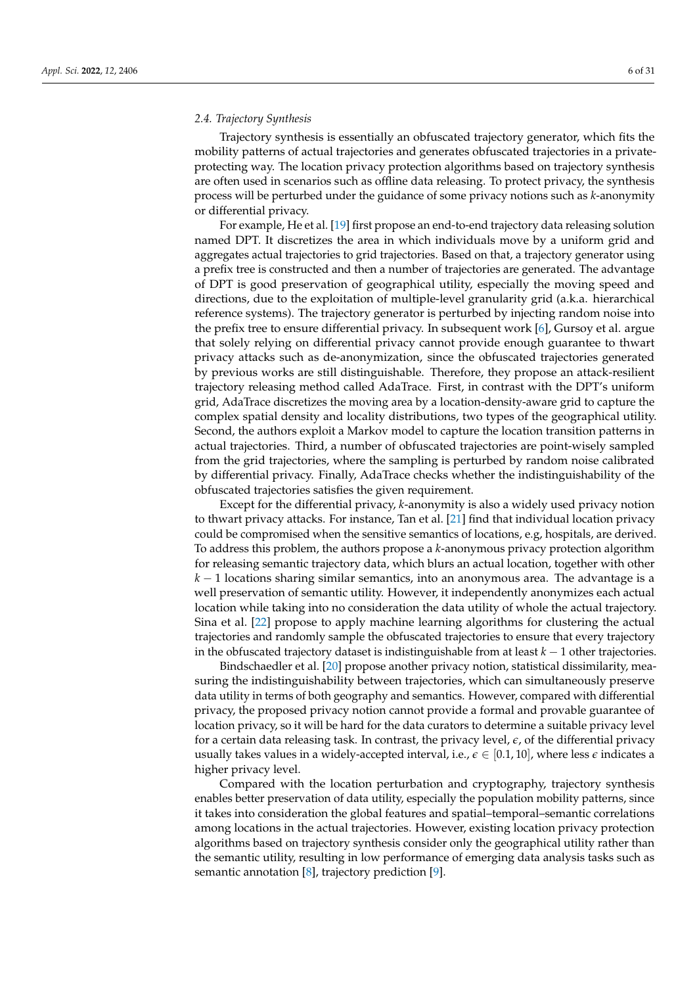Trajectory synthesis is essentially an obfuscated trajectory generator, which fits the mobility patterns of actual trajectories and generates obfuscated trajectories in a privateprotecting way. The location privacy protection algorithms based on trajectory synthesis are often used in scenarios such as offline data releasing. To protect privacy, the synthesis process will be perturbed under the guidance of some privacy notions such as *k*-anonymity or differential privacy.

For example, He et al. [\[19\]](#page-29-15) first propose an end-to-end trajectory data releasing solution named DPT. It discretizes the area in which individuals move by a uniform grid and aggregates actual trajectories to grid trajectories. Based on that, a trajectory generator using a prefix tree is constructed and then a number of trajectories are generated. The advantage of DPT is good preservation of geographical utility, especially the moving speed and directions, due to the exploitation of multiple-level granularity grid (a.k.a. hierarchical reference systems). The trajectory generator is perturbed by injecting random noise into the prefix tree to ensure differential privacy. In subsequent work [\[6\]](#page-29-2), Gursoy et al. argue that solely relying on differential privacy cannot provide enough guarantee to thwart privacy attacks such as de-anonymization, since the obfuscated trajectories generated by previous works are still distinguishable. Therefore, they propose an attack-resilient trajectory releasing method called AdaTrace. First, in contrast with the DPT's uniform grid, AdaTrace discretizes the moving area by a location-density-aware grid to capture the complex spatial density and locality distributions, two types of the geographical utility. Second, the authors exploit a Markov model to capture the location transition patterns in actual trajectories. Third, a number of obfuscated trajectories are point-wisely sampled from the grid trajectories, where the sampling is perturbed by random noise calibrated by differential privacy. Finally, AdaTrace checks whether the indistinguishability of the obfuscated trajectories satisfies the given requirement.

Except for the differential privacy, *k*-anonymity is also a widely used privacy notion to thwart privacy attacks. For instance, Tan et al. [\[21\]](#page-29-17) find that individual location privacy could be compromised when the sensitive semantics of locations, e.g, hospitals, are derived. To address this problem, the authors propose a *k*-anonymous privacy protection algorithm for releasing semantic trajectory data, which blurs an actual location, together with other *k* − 1 locations sharing similar semantics, into an anonymous area. The advantage is a well preservation of semantic utility. However, it independently anonymizes each actual location while taking into no consideration the data utility of whole the actual trajectory. Sina et al. [\[22\]](#page-29-18) propose to apply machine learning algorithms for clustering the actual trajectories and randomly sample the obfuscated trajectories to ensure that every trajectory in the obfuscated trajectory dataset is indistinguishable from at least *k* − 1 other trajectories.

Bindschaedler et al. [\[20\]](#page-29-16) propose another privacy notion, statistical dissimilarity, measuring the indistinguishability between trajectories, which can simultaneously preserve data utility in terms of both geography and semantics. However, compared with differential privacy, the proposed privacy notion cannot provide a formal and provable guarantee of location privacy, so it will be hard for the data curators to determine a suitable privacy level for a certain data releasing task. In contrast, the privacy level, *e*, of the differential privacy usually takes values in a widely-accepted interval, i.e.,  $\epsilon \in [0.1, 10]$ , where less  $\epsilon$  indicates a higher privacy level.

Compared with the location perturbation and cryptography, trajectory synthesis enables better preservation of data utility, especially the population mobility patterns, since it takes into consideration the global features and spatial–temporal–semantic correlations among locations in the actual trajectories. However, existing location privacy protection algorithms based on trajectory synthesis consider only the geographical utility rather than the semantic utility, resulting in low performance of emerging data analysis tasks such as semantic annotation  $[8]$ , trajectory prediction  $[9]$ .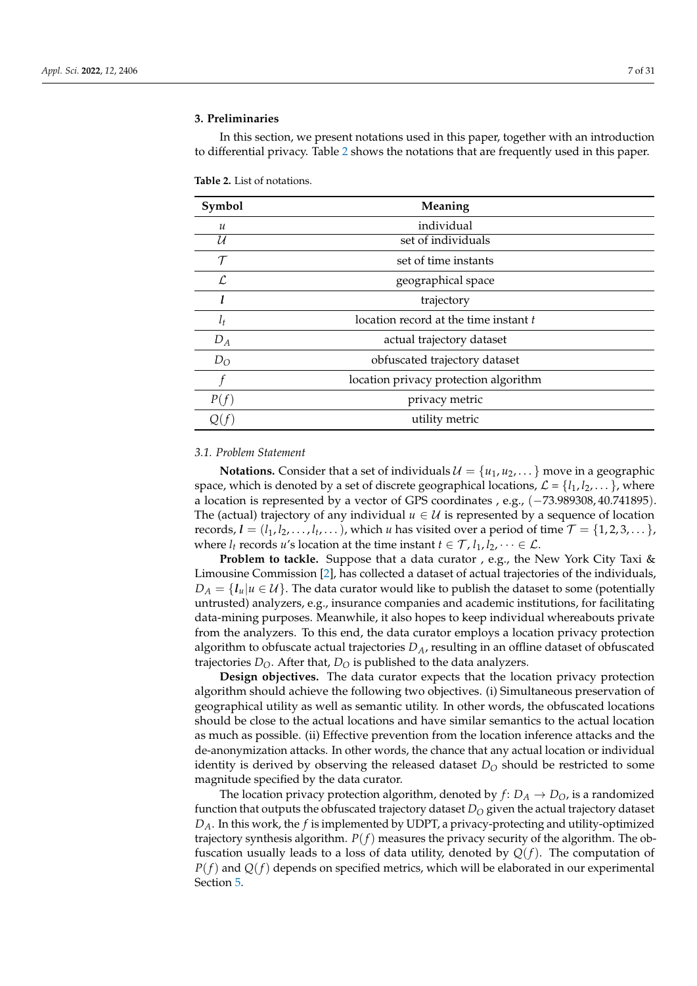# <span id="page-6-0"></span>**3. Preliminaries**

In this section, we present notations used in this paper, together with an introduction to differential privacy. Table [2](#page-6-1) shows the notations that are frequently used in this paper.

| Symbol        | Meaning                               |  |
|---------------|---------------------------------------|--|
| $\mathcal{U}$ | individual                            |  |
| U             | set of individuals                    |  |
| $\tau$        | set of time instants                  |  |
| $\mathcal{L}$ | geographical space                    |  |
| l             | trajectory                            |  |
| $l_t$         | location record at the time instant t |  |
| $D_A$         | actual trajectory dataset             |  |
| $D_{O}$       | obfuscated trajectory dataset         |  |
| f             | location privacy protection algorithm |  |
| P(f)          | privacy metric                        |  |
|               | utility metric                        |  |
|               |                                       |  |

<span id="page-6-1"></span>**Table 2.** List of notations.

#### <span id="page-6-2"></span>*3.1. Problem Statement*

**Notations.** Consider that a set of individuals  $\mathcal{U} = \{u_1, u_2, \dots\}$  move in a geographic space, which is denoted by a set of discrete geographical locations,  $\mathcal{L} = \{l_1, l_2, \dots\}$ , where a location is represented by a vector of GPS coordinates , e.g., (−73.989308, 40.741895). The (actual) trajectory of any individual  $u \in U$  is represented by a sequence of location records,  $\bm{l} = (l_1, l_2, \ldots, l_t, \ldots)$ , which *u* has visited over a period of time  $\mathcal{T} = \{1, 2, 3, \ldots\}$ , where  $l_t$  records  $u$ 's location at the time instant  $t \in \mathcal{T}$ ,  $l_1$ ,  $l_2$ ,  $\cdots \in \mathcal{L}$ .

**Problem to tackle.** Suppose that a data curator , e.g., the New York City Taxi & Limousine Commission [\[2\]](#page-28-1), has collected a dataset of actual trajectories of the individuals,  $D_A = \{I_u | u \in \mathcal{U}\}\.$  The data curator would like to publish the dataset to some (potentially untrusted) analyzers, e.g., insurance companies and academic institutions, for facilitating data-mining purposes. Meanwhile, it also hopes to keep individual whereabouts private from the analyzers. To this end, the data curator employs a location privacy protection algorithm to obfuscate actual trajectories *DA*, resulting in an offline dataset of obfuscated trajectories  $D_{\Omega}$ . After that,  $D_{\Omega}$  is published to the data analyzers.

**Design objectives.** The data curator expects that the location privacy protection algorithm should achieve the following two objectives. (i) Simultaneous preservation of geographical utility as well as semantic utility. In other words, the obfuscated locations should be close to the actual locations and have similar semantics to the actual location as much as possible. (ii) Effective prevention from the location inference attacks and the de-anonymization attacks. In other words, the chance that any actual location or individual identity is derived by observing the released dataset  $D<sub>O</sub>$  should be restricted to some magnitude specified by the data curator.

The location privacy protection algorithm, denoted by  $f: D_A \to D_O$ , is a randomized function that outputs the obfuscated trajectory dataset *D<sup>O</sup>* given the actual trajectory dataset *DA*. In this work, the *f* is implemented by UDPT, a privacy-protecting and utility-optimized trajectory synthesis algorithm. *P*(*f*) measures the privacy security of the algorithm. The obfuscation usually leads to a loss of data utility, denoted by *Q*(*f*). The computation of *P*(*f*) and *Q*(*f*) depends on specified metrics, which will be elaborated in our experimental Section [5.](#page-18-0)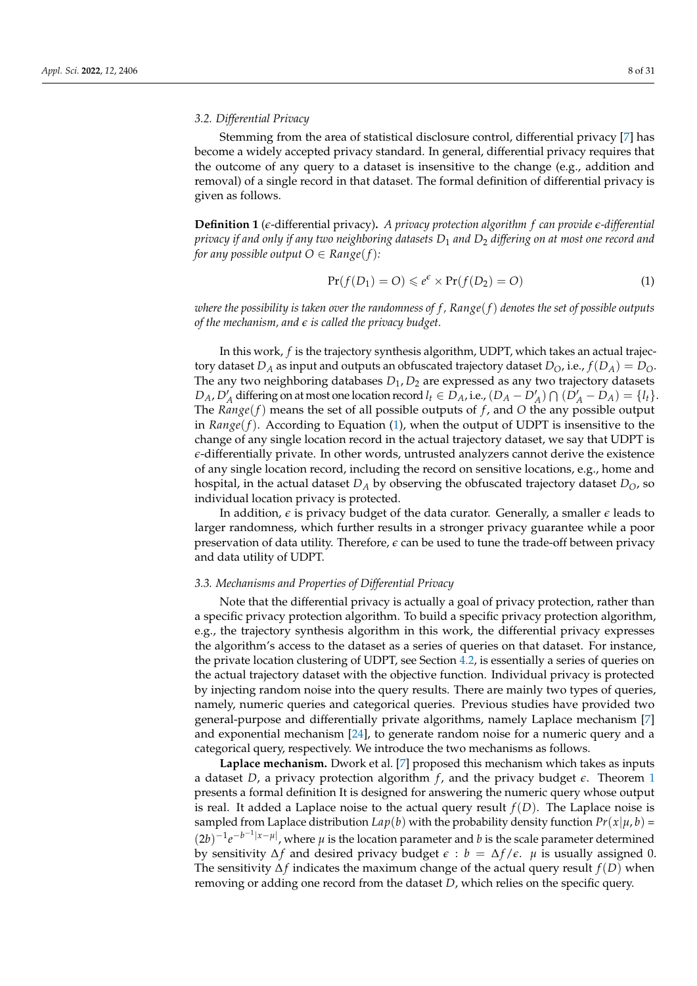# *3.2. Differential Privacy*

Stemming from the area of statistical disclosure control, differential privacy [\[7\]](#page-29-3) has become a widely accepted privacy standard. In general, differential privacy requires that the outcome of any query to a dataset is insensitive to the change (e.g., addition and removal) of a single record in that dataset. The formal definition of differential privacy is given as follows.

**Definition 1** (*e*-differential privacy)**.** *A privacy protection algorithm f can provide e-differential privacy if and only if any two neighboring datasets D*<sup>1</sup> *and D*<sup>2</sup> *differing on at most one record and for any possible output*  $O \in Range(f)$ *:* 

<span id="page-7-0"></span>
$$
Pr(f(D_1) = O) \leq e^{\epsilon} \times Pr(f(D_2) = O)
$$
\n(1)

*where the possibility is taken over the randomness of f , Range*(*f*) *denotes the set of possible outputs of the mechanism, and e is called the privacy budget.*

In this work, *f* is the trajectory synthesis algorithm, UDPT, which takes an actual trajectory dataset  $D_A$  as input and outputs an obfuscated trajectory dataset  $D_O$ , i.e.,  $f(D_A) = D_O$ . The any two neighboring databases  $D_1$ ,  $D_2$  are expressed as any two trajectory datasets  $D_A$ ,  $D'_A$  differing on at most one location record  $l_t \in D_A$ , i.e.,  $(D_A - D'_A) \cap (D'_A - D_A) = \{l_t\}.$ The *Range*(*f*) means the set of all possible outputs of *f* , and *O* the any possible output in *Range*( $f$ ). According to Equation [\(1\)](#page-7-0), when the output of UDPT is insensitive to the change of any single location record in the actual trajectory dataset, we say that UDPT is *e*-differentially private. In other words, untrusted analyzers cannot derive the existence of any single location record, including the record on sensitive locations, e.g., home and hospital, in the actual dataset  $D_A$  by observing the obfuscated trajectory dataset  $D_O$ , so individual location privacy is protected.

In addition, *e* is privacy budget of the data curator. Generally, a smaller *e* leads to larger randomness, which further results in a stronger privacy guarantee while a poor preservation of data utility. Therefore, *e* can be used to tune the trade-off between privacy and data utility of UDPT.

#### *3.3. Mechanisms and Properties of Differential Privacy*

Note that the differential privacy is actually a goal of privacy protection, rather than a specific privacy protection algorithm. To build a specific privacy protection algorithm, e.g., the trajectory synthesis algorithm in this work, the differential privacy expresses the algorithm's access to the dataset as a series of queries on that dataset. For instance, the private location clustering of UDPT, see Section [4.2,](#page-11-0) is essentially a series of queries on the actual trajectory dataset with the objective function. Individual privacy is protected by injecting random noise into the query results. There are mainly two types of queries, namely, numeric queries and categorical queries. Previous studies have provided two general-purpose and differentially private algorithms, namely Laplace mechanism [\[7\]](#page-29-3) and exponential mechanism [\[24\]](#page-29-20), to generate random noise for a numeric query and a categorical query, respectively. We introduce the two mechanisms as follows.

**Laplace mechanism.** Dwork et al. [\[7\]](#page-29-3) proposed this mechanism which takes as inputs a dataset *D*, a privacy protection algorithm *f* , and the privacy budget *e*. Theorem [1](#page-8-1) presents a formal definition It is designed for answering the numeric query whose output is real. It added a Laplace noise to the actual query result *f*(*D*). The Laplace noise is sampled from Laplace distribution  $Lap(b)$  with the probability density function  $Pr(x|\mu, b)$  =  $(2b)^{-1}e^{-b^{-1}|x-\mu|}$ , where  $\mu$  is the location parameter and *b* is the scale parameter determined by sensitivity ∆*f* and desired privacy budget *e* : *b* = ∆*f* /*e*. *µ* is usually assigned 0. The sensitivity ∆*f* indicates the maximum change of the actual query result *f*(*D*) when removing or adding one record from the dataset *D*, which relies on the specific query.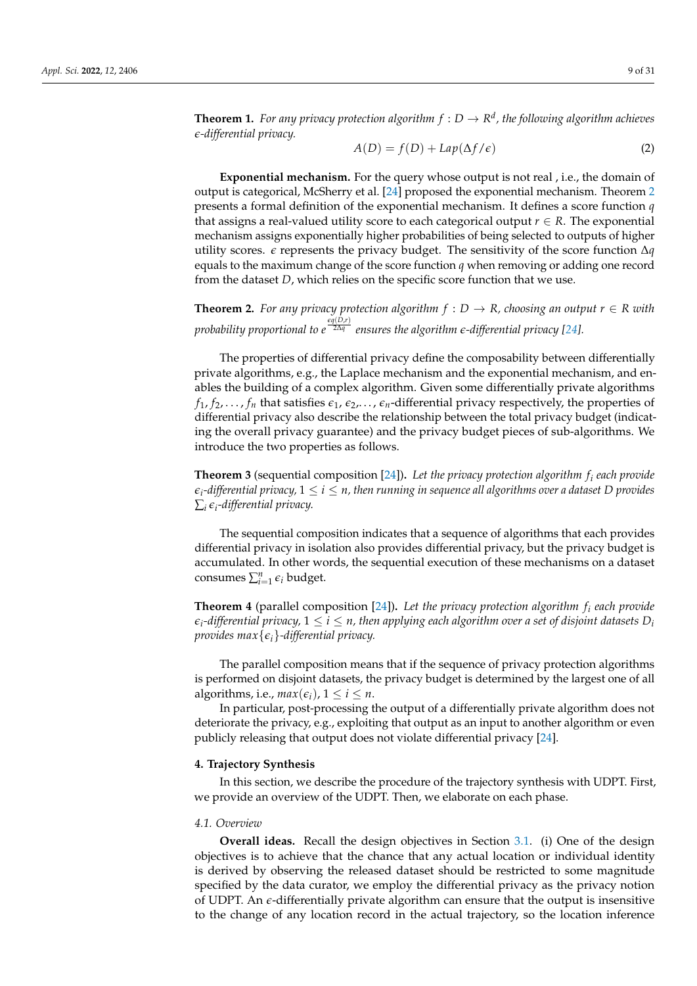<span id="page-8-1"></span>**Theorem 1.** For any privacy protection algorithm  $f: D \to \mathbb{R}^d$ , the following algorithm achieves *e-differential privacy.*

$$
A(D) = f(D) + Lap(\Delta f/\epsilon)
$$
 (2)

**Exponential mechanism.** For the query whose output is not real , i.e., the domain of output is categorical, McSherry et al. [\[24\]](#page-29-20) proposed the exponential mechanism. Theorem [2](#page-8-2) presents a formal definition of the exponential mechanism. It defines a score function *q* that assigns a real-valued utility score to each categorical output  $r \in R$ . The exponential mechanism assigns exponentially higher probabilities of being selected to outputs of higher utility scores. *e* represents the privacy budget. The sensitivity of the score function ∆*q* equals to the maximum change of the score function *q* when removing or adding one record from the dataset *D*, which relies on the specific score function that we use.

<span id="page-8-2"></span>**Theorem 2.** For any privacy protection algorithm  $f : D \to R$ , choosing an output  $r \in R$  with *probability proportional to*  $e^{\frac{\epsilon q(D,r)}{2\Delta q}}$  *ensures the algorithm*  $\epsilon$ *-differential privacy [\[24\]](#page-29-20).* 

The properties of differential privacy define the composability between differentially private algorithms, e.g., the Laplace mechanism and the exponential mechanism, and enables the building of a complex algorithm. Given some differentially private algorithms  $f_1, f_2, \ldots, f_n$  that satisfies  $\epsilon_1, \epsilon_2, \ldots, \epsilon_n$ -differential privacy respectively, the properties of differential privacy also describe the relationship between the total privacy budget (indicating the overall privacy guarantee) and the privacy budget pieces of sub-algorithms. We introduce the two properties as follows.

<span id="page-8-4"></span>**Theorem 3** (sequential composition [\[24\]](#page-29-20))**.** *Let the privacy protection algorithm f<sup>i</sup> each provide*  $\epsilon_i$ -differential privacy,  $1 \leq i \leq n$ , then running in sequence all algorithms over a dataset D provides ∑*i ei -differential privacy.*

The sequential composition indicates that a sequence of algorithms that each provides differential privacy in isolation also provides differential privacy, but the privacy budget is accumulated. In other words, the sequential execution of these mechanisms on a dataset consumes  $\sum_{i=1}^{n} \epsilon_i$  budget.

<span id="page-8-3"></span>**Theorem 4** (parallel composition [\[24\]](#page-29-20))**.** *Let the privacy protection algorithm f<sup>i</sup> each provide*  $\epsilon_i$ -differential privacy,  $1 \leq i \leq n$ , then applying each algorithm over a set of disjoint datasets  $D_i$ *provides max*{*ei*}*-differential privacy.*

The parallel composition means that if the sequence of privacy protection algorithms is performed on disjoint datasets, the privacy budget is determined by the largest one of all algorithms, i.e.,  $max(\epsilon_i)$ ,  $1 \le i \le n$ .

In particular, post-processing the output of a differentially private algorithm does not deteriorate the privacy, e.g., exploiting that output as an input to another algorithm or even publicly releasing that output does not violate differential privacy [\[24\]](#page-29-20).

#### <span id="page-8-0"></span>**4. Trajectory Synthesis**

In this section, we describe the procedure of the trajectory synthesis with UDPT. First, we provide an overview of the UDPT. Then, we elaborate on each phase.

#### *4.1. Overview*

**Overall ideas.** Recall the design objectives in Section [3.1.](#page-6-2) (i) One of the design objectives is to achieve that the chance that any actual location or individual identity is derived by observing the released dataset should be restricted to some magnitude specified by the data curator, we employ the differential privacy as the privacy notion of UDPT. An *e*-differentially private algorithm can ensure that the output is insensitive to the change of any location record in the actual trajectory, so the location inference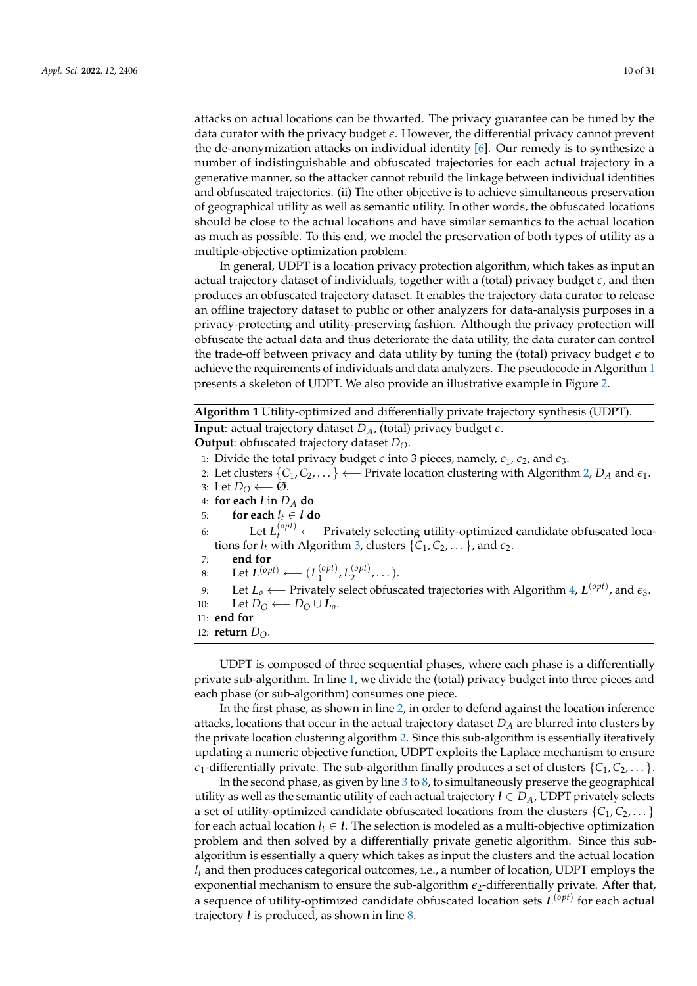attacks on actual locations can be thwarted. The privacy guarantee can be tuned by the data curator with the privacy budget *e*. However, the differential privacy cannot prevent the de-anonymization attacks on individual identity [\[6\]](#page-29-2). Our remedy is to synthesize a number of indistinguishable and obfuscated trajectories for each actual trajectory in a generative manner, so the attacker cannot rebuild the linkage between individual identities and obfuscated trajectories. (ii) The other objective is to achieve simultaneous preservation of geographical utility as well as semantic utility. In other words, the obfuscated locations should be close to the actual locations and have similar semantics to the actual location as much as possible. To this end, we model the preservation of both types of utility as a multiple-objective optimization problem.

In general, UDPT is a location privacy protection algorithm, which takes as input an actual trajectory dataset of individuals, together with a (total) privacy budget *e*, and then produces an obfuscated trajectory dataset. It enables the trajectory data curator to release an offline trajectory dataset to public or other analyzers for data-analysis purposes in a privacy-protecting and utility-preserving fashion. Although the privacy protection will obfuscate the actual data and thus deteriorate the data utility, the data curator can control the trade-off between privacy and data utility by tuning the (total) privacy budget  $\epsilon$  to achieve the requirements of individuals and data analyzers. The pseudocode in Algorithm [1](#page-9-0) presents a skeleton of UDPT. We also provide an illustrative example in Figure [2.](#page-10-0)

```
Algorithm 1 Utility-optimized and differentially private trajectory synthesis (UDPT).
```
**Input**: actual trajectory dataset  $D_A$ , (total) privacy budget  $\epsilon$ .

**Output**: obfuscated trajectory dataset *DO*.

- 1: Divide the total privacy budget  $\epsilon$  into 3 pieces, namely,  $\epsilon_1$ ,  $\epsilon_2$ , and  $\epsilon_3$ .
- 2: Let clusters {*C*1, *C*2, . . . } ←− Private location clustering with Algorithm [2,](#page-11-1) *D<sup>A</sup>* and *e*1.
- 3: Let *D*<sup>O</sup> ← Ø.
- 4: **for each** *l* in *D<sup>A</sup>* **do**
- 5: **for each**  $l_t \in \mathit{l}$  **do**
- 6: Let  $L_t^{(opt)}$  ← Privately selecting utility-optimized candidate obfuscated locations for  $l_t$  with Algorithm [3,](#page-15-0) clusters  $\{C_1, C_2, \ldots\}$ , and  $\epsilon_2$ .
- 7: **end for**
- 8: Let  $L^{(opt)}$  ←  $(L_1^{(opt)}$ 1 , *L* (*opt*)  $2^{(\nu \rho \nu)}, \dots$ ).
- 9: Let *L<sup>o</sup>* ←− Privately select obfuscated trajectories with Algorithm [4,](#page-17-0) *L* (*opt*) , and *e*3.
- 10: Let  $D_O \leftarrow D_O \cup L_0$ .
- 11: **end for**
- 12: **return** *DO*.

UDPT is composed of three sequential phases, where each phase is a differentially private sub-algorithm. In line [1,](#page-9-0) we divide the (total) privacy budget into three pieces and each phase (or sub-algorithm) consumes one piece.

In the first phase, as shown in line [2,](#page-9-0) in order to defend against the location inference attacks, locations that occur in the actual trajectory dataset  $D_A$  are blurred into clusters by the private location clustering algorithm [2.](#page-11-1) Since this sub-algorithm is essentially iteratively updating a numeric objective function, UDPT exploits the Laplace mechanism to ensure  $\epsilon_1$ -differentially private. The sub-algorithm finally produces a set of clusters  $\{C_1, C_2, \ldots\}$ .

In the second phase, as given by line  $3$  to  $8$ , to simultaneously preserve the geographical utility as well as the semantic utility of each actual trajectory  $l \in D_A$ , UDPT privately selects a set of utility-optimized candidate obfuscated locations from the clusters  $\{C_1, C_2, \ldots\}$ for each actual location  $l_t \in \mathcal{I}$ . The selection is modeled as a multi-objective optimization problem and then solved by a differentially private genetic algorithm. Since this subalgorithm is essentially a query which takes as input the clusters and the actual location *l<sup>t</sup>* and then produces categorical outcomes, i.e., a number of location, UDPT employs the exponential mechanism to ensure the sub-algorithm  $\epsilon_2$ -differentially private. After that, a sequence of utility-optimized candidate obfuscated location sets *L* (*opt*) for each actual trajectory *l* is produced, as shown in line [8.](#page-9-0)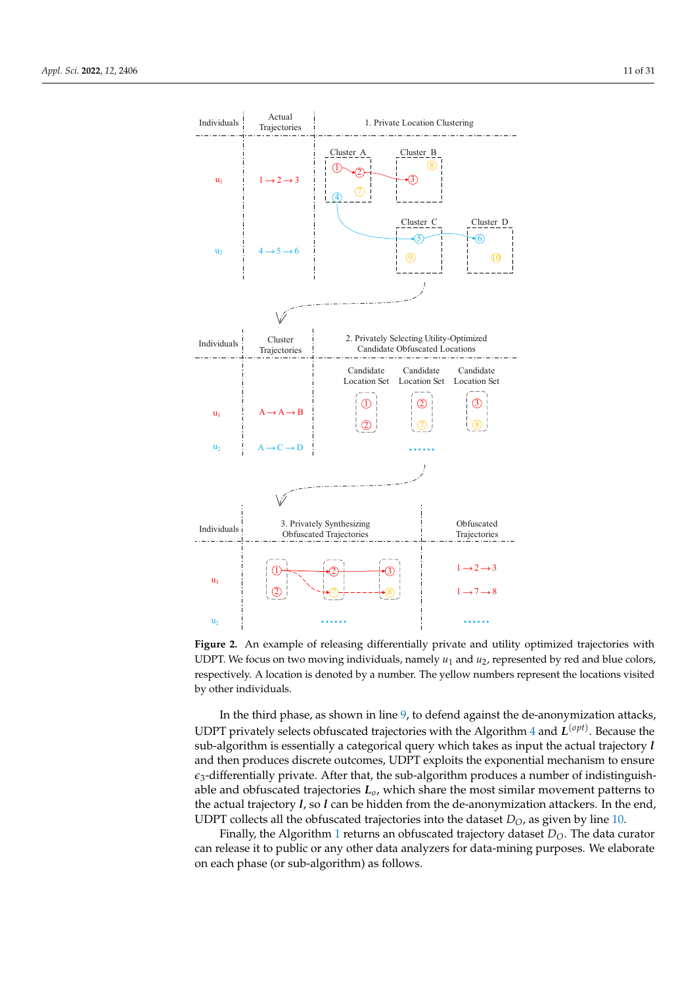<span id="page-10-0"></span>

**Figure 2.** An example of releasing differentially private and utility optimized trajectories with UDPT. We focus on two moving individuals, namely *u*<sup>1</sup> and *u*2, represented by red and blue colors, respectively. A location is denoted by a number. The yellow numbers represent the locations visited by other individuals.

In the third phase, as shown in line [9,](#page-9-0) to defend against the de-anonymization attacks, UDPT privately selects obfuscated trajectories with the Algorithm [4](#page-17-0) and *L* (*opt*) . Because the sub-algorithm is essentially a categorical query which takes as input the actual trajectory *l* and then produces discrete outcomes, UDPT exploits the exponential mechanism to ensure  $\epsilon_3$ -differentially private. After that, the sub-algorithm produces a number of indistinguishable and obfuscated trajectories *Lo*, which share the most similar movement patterns to the actual trajectory *l*, so *l* can be hidden from the de-anonymization attackers. In the end, UDPT collects all the obfuscated trajectories into the dataset  $D<sub>O</sub>$ , as given by line [10.](#page-9-0)

Finally, the Algorithm [1](#page-9-0) returns an obfuscated trajectory dataset  $D_{\Omega}$ . The data curator can release it to public or any other data analyzers for data-mining purposes. We elaborate on each phase (or sub-algorithm) as follows.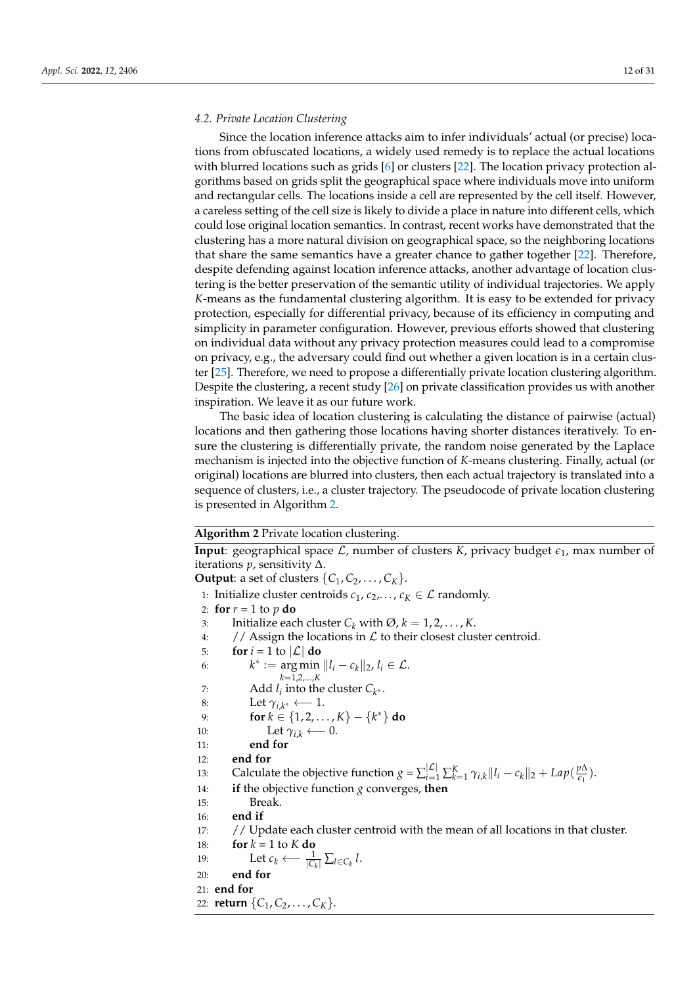#### <span id="page-11-0"></span>*4.2. Private Location Clustering*

Since the location inference attacks aim to infer individuals' actual (or precise) locations from obfuscated locations, a widely used remedy is to replace the actual locations with blurred locations such as grids [\[6\]](#page-29-2) or clusters [\[22\]](#page-29-18). The location privacy protection algorithms based on grids split the geographical space where individuals move into uniform and rectangular cells. The locations inside a cell are represented by the cell itself. However, a careless setting of the cell size is likely to divide a place in nature into different cells, which could lose original location semantics. In contrast, recent works have demonstrated that the clustering has a more natural division on geographical space, so the neighboring locations that share the same semantics have a greater chance to gather together [\[22\]](#page-29-18). Therefore, despite defending against location inference attacks, another advantage of location clustering is the better preservation of the semantic utility of individual trajectories. We apply *K*-means as the fundamental clustering algorithm. It is easy to be extended for privacy protection, especially for differential privacy, because of its efficiency in computing and simplicity in parameter configuration. However, previous efforts showed that clustering on individual data without any privacy protection measures could lead to a compromise on privacy, e.g., the adversary could find out whether a given location is in a certain cluster [\[25\]](#page-29-21). Therefore, we need to propose a differentially private location clustering algorithm. Despite the clustering, a recent study [\[26\]](#page-29-22) on private classification provides us with another inspiration. We leave it as our future work.

The basic idea of location clustering is calculating the distance of pairwise (actual) locations and then gathering those locations having shorter distances iteratively. To ensure the clustering is differentially private, the random noise generated by the Laplace mechanism is injected into the objective function of *K*-means clustering. Finally, actual (or original) locations are blurred into clusters, then each actual trajectory is translated into a sequence of clusters, i.e., a cluster trajectory. The pseudocode of private location clustering is presented in Algorithm [2.](#page-11-1)

#### <span id="page-11-1"></span>**Algorithm 2** Private location clustering.

**Input**: geographical space  $\mathcal{L}$ , number of clusters  $K$ , privacy budget  $\epsilon_1$ , max number of iterations *p*, sensitivity ∆.

**Output**: a set of clusters  $\{C_1, C_2, \ldots, C_K\}$ .

1: Initialize cluster centroids  $c_1, c_2, \ldots, c_K \in \mathcal{L}$  randomly. 2: **for**  $r = 1$  to  $p$  **do** 3: Initialize each cluster  $C_k$  with  $\emptyset$ ,  $k = 1, 2, ..., K$ . 4: // Assign the locations in  $\mathcal L$  to their closest cluster centroid. 5: **for**  $i = 1$  to  $|\mathcal{L}|$  **do** 6:  $k^* := \arg \min ||l_i - c_k||_2, l_i \in \mathcal{L}.$ *k*=1,2,...,*K* 7: Add  $l_i$  into the cluster  $C_{k^*}$ . 8: Let  $\gamma_{i,k^*} \longleftarrow 1$ . 9: **for** *k* ∈ {1, 2, . . . , *K*} − {*k* <sup>∗</sup>} **do** 10: Let  $\gamma_{i,k} \longleftarrow 0$ . 11: **end for** 12: **end for** 13: Calculate the objective function  $g = \sum_{i=1}^{|\mathcal{L}|} \sum_{k=1}^{K} \gamma_{i,k} ||l_i - c_k||_2 + Lap(\frac{p\Delta}{\epsilon_1})$  $\frac{p\Delta}{\epsilon_1}$ ). 14: **if** the objective function *g* converges, **then** 15: Break. 16: **end if** 17: // Update each cluster centroid with the mean of all locations in that cluster. 18: **for**  $k = 1$  to  $K$  **do** 19: Let  $c_k \longleftarrow \frac{1}{|C_k|} \sum_{l \in C_k} l$ . 20: **end for** 21: **end for**

22: **return**  $\{C_1, C_2, \ldots, C_K\}.$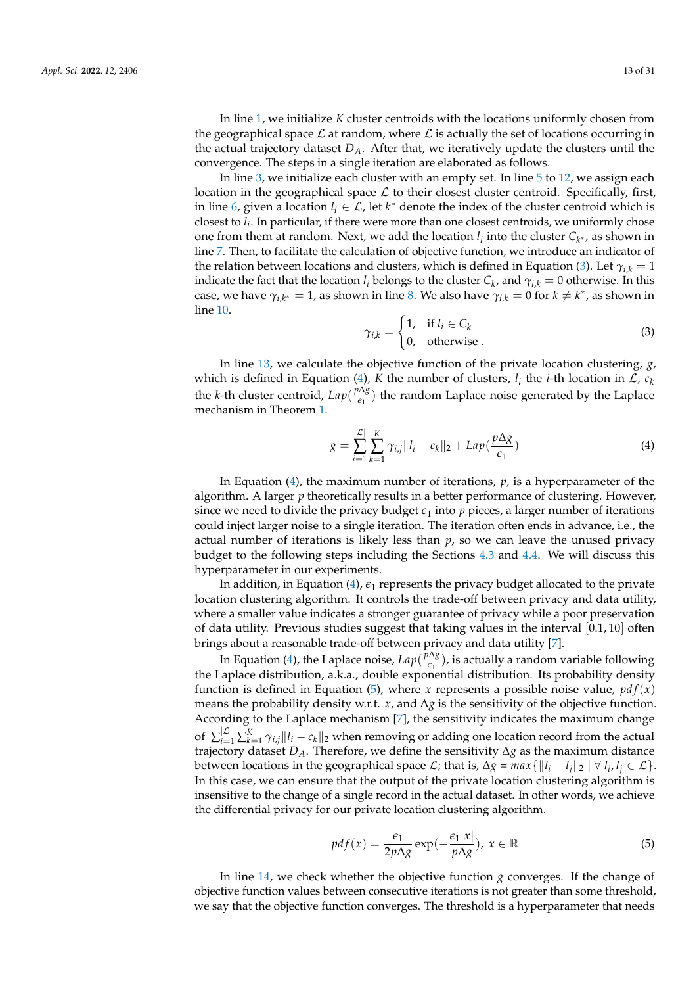In line [1,](#page-11-1) we initialize *K* cluster centroids with the locations uniformly chosen from the geographical space  $\mathcal L$  at random, where  $\mathcal L$  is actually the set of locations occurring in the actual trajectory dataset  $D_A$ . After that, we iteratively update the clusters until the convergence. The steps in a single iteration are elaborated as follows.

In line [3,](#page-11-1) we initialize each cluster with an empty set. In line [5](#page-11-1) to [12,](#page-11-1) we assign each location in the geographical space  $\mathcal L$  to their closest cluster centroid. Specifically, first, in line [6,](#page-11-1) given a location  $l_i \in \mathcal{L}$ , let  $k^*$  denote the index of the cluster centroid which is closest to *l<sup>i</sup>* . In particular, if there were more than one closest centroids, we uniformly chose one from them at random. Next, we add the location  $l_i$  into the cluster  $C_{k^*}$ , as shown in line [7.](#page-11-1) Then, to facilitate the calculation of objective function, we introduce an indicator of the relation between locations and clusters, which is defined in Equation [\(3\)](#page-12-0). Let  $\gamma_{ik} = 1$ indicate the fact that the location *l*<sub>*i*</sub> belongs to the cluster  $C_k$ , and  $\gamma_{i,k} = 0$  otherwise. In this case, we have  $\gamma_{i,k^*} = 1$ , as shown in line [8.](#page-11-1) We also have  $\gamma_{i,k} = 0$  for  $k \neq k^*$ , as shown in line [10.](#page-11-1)

<span id="page-12-0"></span>
$$
\gamma_{i,k} = \begin{cases} 1, & \text{if } l_i \in C_k \\ 0, & \text{otherwise} \end{cases}
$$
 (3)

In line [13,](#page-11-1) we calculate the objective function of the private location clustering, *g*, which is defined in Equation [\(4\)](#page-12-1), *K* the number of clusters,  $l_i$  the *i*-th location in  $\mathcal{L}$ ,  $c_k$ the *k*-th cluster centroid, *Lap*( *p*∆*g*  $\frac{\log p}{\epsilon_1}$ ) the random Laplace noise generated by the Laplace mechanism in Theorem [1.](#page-8-1)

<span id="page-12-1"></span>
$$
g = \sum_{i=1}^{|\mathcal{L}|} \sum_{k=1}^{K} \gamma_{i,j} ||l_i - c_k||_2 + Lap(\frac{p\Delta g}{\epsilon_1})
$$
(4)

In Equation [\(4\)](#page-12-1), the maximum number of iterations, *p*, is a hyperparameter of the algorithm. A larger *p* theoretically results in a better performance of clustering. However, since we need to divide the privacy budget  $\epsilon_1$  into p pieces, a larger number of iterations could inject larger noise to a single iteration. The iteration often ends in advance, i.e., the actual number of iterations is likely less than *p*, so we can leave the unused privacy budget to the following steps including the Sections [4.3](#page-13-0) and [4.4.](#page-16-0) We will discuss this hyperparameter in our experiments.

In addition, in Equation  $(4)$ ,  $\varepsilon_1$  represents the privacy budget allocated to the private location clustering algorithm. It controls the trade-off between privacy and data utility, where a smaller value indicates a stronger guarantee of privacy while a poor preservation of data utility. Previous studies suggest that taking values in the interval [0.1, 10] often brings about a reasonable trade-off between privacy and data utility [\[7\]](#page-29-3).

In Equation [\(4\)](#page-12-1), the Laplace noise,  $Lap(\frac{p\Delta g}{\epsilon_1})$  $\frac{\log g}{\epsilon_1}$ ), is actually a random variable following the Laplace distribution, a.k.a., double exponential distribution. Its probability density function is defined in Equation [\(5\)](#page-12-2), where *x* represents a possible noise value,  $pdf(x)$ means the probability density w.r.t. *x*, and ∆*g* is the sensitivity of the objective function. According to the Laplace mechanism [\[7\]](#page-29-3), the sensitivity indicates the maximum change of  $\sum_{i=1}^{|\mathcal{L}|} \sum_{k=1}^{K} \gamma_{i,j} ||l_i - c_k||_2$  when removing or adding one location record from the actual trajectory dataset *DA*. Therefore, we define the sensitivity ∆*g* as the maximum distance between locations in the geographical space  $\mathcal{L}$ ; that is,  $\Delta g = max\{\|l_i - l_j\|_2 \mid \forall \ l_i, l_j \in \mathcal{L}\}.$ In this case, we can ensure that the output of the private location clustering algorithm is insensitive to the change of a single record in the actual dataset. In other words, we achieve the differential privacy for our private location clustering algorithm.

<span id="page-12-2"></span>
$$
pdf(x) = \frac{\epsilon_1}{2p\Delta g} \exp(-\frac{\epsilon_1|x|}{p\Delta g}), \ x \in \mathbb{R}
$$
 (5)

In line [14,](#page-11-1) we check whether the objective function  $g$  converges. If the change of objective function values between consecutive iterations is not greater than some threshold, we say that the objective function converges. The threshold is a hyperparameter that needs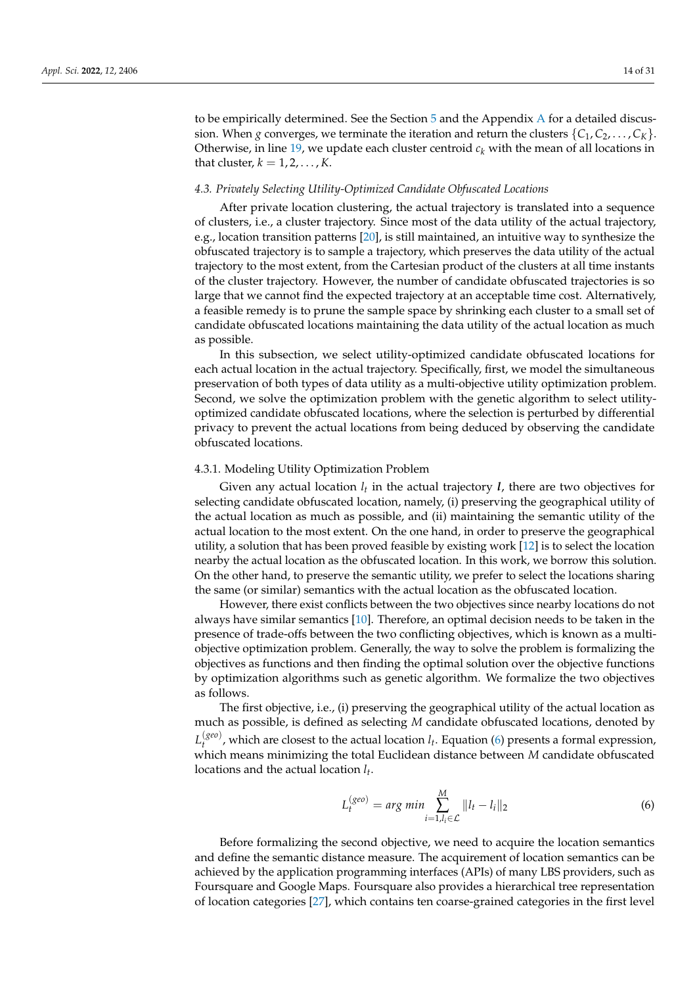to be empirically determined. See the Section [5](#page-18-0) and the Appendix [A](#page-26-0) for a detailed discussion. When *g* converges, we terminate the iteration and return the clusters  $\{C_1, C_2, \ldots, C_K\}$ . Otherwise, in line [19,](#page-11-1) we update each cluster centroid  $c_k$  with the mean of all locations in that cluster,  $k = 1, 2, \ldots, K$ .

#### <span id="page-13-0"></span>*4.3. Privately Selecting Utility-Optimized Candidate Obfuscated Locations*

After private location clustering, the actual trajectory is translated into a sequence of clusters, i.e., a cluster trajectory. Since most of the data utility of the actual trajectory, e.g., location transition patterns [\[20\]](#page-29-16), is still maintained, an intuitive way to synthesize the obfuscated trajectory is to sample a trajectory, which preserves the data utility of the actual trajectory to the most extent, from the Cartesian product of the clusters at all time instants of the cluster trajectory. However, the number of candidate obfuscated trajectories is so large that we cannot find the expected trajectory at an acceptable time cost. Alternatively, a feasible remedy is to prune the sample space by shrinking each cluster to a small set of candidate obfuscated locations maintaining the data utility of the actual location as much as possible.

In this subsection, we select utility-optimized candidate obfuscated locations for each actual location in the actual trajectory. Specifically, first, we model the simultaneous preservation of both types of data utility as a multi-objective utility optimization problem. Second, we solve the optimization problem with the genetic algorithm to select utilityoptimized candidate obfuscated locations, where the selection is perturbed by differential privacy to prevent the actual locations from being deduced by observing the candidate obfuscated locations.

#### 4.3.1. Modeling Utility Optimization Problem

Given any actual location  $l_t$  in the actual trajectory *l*, there are two objectives for selecting candidate obfuscated location, namely, (i) preserving the geographical utility of the actual location as much as possible, and (ii) maintaining the semantic utility of the actual location to the most extent. On the one hand, in order to preserve the geographical utility, a solution that has been proved feasible by existing work [\[12\]](#page-29-8) is to select the location nearby the actual location as the obfuscated location. In this work, we borrow this solution. On the other hand, to preserve the semantic utility, we prefer to select the locations sharing the same (or similar) semantics with the actual location as the obfuscated location.

However, there exist conflicts between the two objectives since nearby locations do not always have similar semantics [\[10\]](#page-29-6). Therefore, an optimal decision needs to be taken in the presence of trade-offs between the two conflicting objectives, which is known as a multiobjective optimization problem. Generally, the way to solve the problem is formalizing the objectives as functions and then finding the optimal solution over the objective functions by optimization algorithms such as genetic algorithm. We formalize the two objectives as follows.

The first objective, i.e., (i) preserving the geographical utility of the actual location as much as possible, is defined as selecting *M* candidate obfuscated locations, denoted by *L* (*geo*)  $t_t^{\text{(see)}}$ , which are closest to the actual location  $l_t$ . Equation [\(6\)](#page-13-1) presents a formal expression, which means minimizing the total Euclidean distance between *M* candidate obfuscated locations and the actual location *l<sup>t</sup>* .

<span id="page-13-1"></span>
$$
L_t^{(geo)} = \arg\min \sum_{i=1, l_i \in \mathcal{L}}^M ||l_t - l_i||_2
$$
 (6)

Before formalizing the second objective, we need to acquire the location semantics and define the semantic distance measure. The acquirement of location semantics can be achieved by the application programming interfaces (APIs) of many LBS providers, such as Foursquare and Google Maps. Foursquare also provides a hierarchical tree representation of location categories [\[27\]](#page-29-23), which contains ten coarse-grained categories in the first level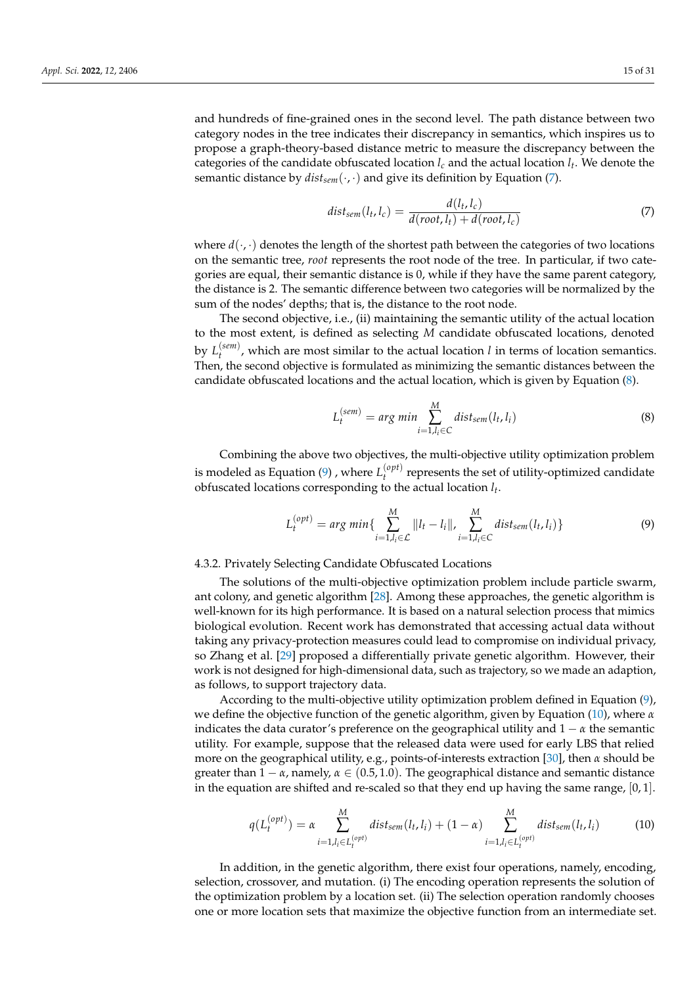and hundreds of fine-grained ones in the second level. The path distance between two category nodes in the tree indicates their discrepancy in semantics, which inspires us to propose a graph-theory-based distance metric to measure the discrepancy between the categories of the candidate obfuscated location *l<sup>c</sup>* and the actual location *l<sup>t</sup>* . We denote the semantic distance by  $dist_{sem}(\cdot, \cdot)$  and give its definition by Equation [\(7\)](#page-14-0).

<span id="page-14-0"></span>
$$
dist_{sem}(l_t, l_c) = \frac{d(l_t, l_c)}{d(root, l_t) + d(root, l_c)}
$$
\n
$$
(7)
$$

where  $d(\cdot, \cdot)$  denotes the length of the shortest path between the categories of two locations on the semantic tree, *root* represents the root node of the tree. In particular, if two categories are equal, their semantic distance is 0, while if they have the same parent category, the distance is 2. The semantic difference between two categories will be normalized by the sum of the nodes' depths; that is, the distance to the root node.

The second objective, i.e., (ii) maintaining the semantic utility of the actual location to the most extent, is defined as selecting *M* candidate obfuscated locations, denoted by  $L_t^{(sem)}$  $t_t^{(semi)}$ , which are most similar to the actual location *l* in terms of location semantics. Then, the second objective is formulated as minimizing the semantic distances between the candidate obfuscated locations and the actual location, which is given by Equation [\(8\)](#page-14-1).

<span id="page-14-1"></span>
$$
L_t^{(sem)} = arg min \sum_{i=1, l_i \in C}^{M} dist_{sem}(l_t, l_i)
$$
\n(8)

Combining the above two objectives, the multi-objective utility optimization problem is modeled as Equation [\(9\)](#page-14-2) , where  $L_t^{(opt)}$  $t_t^{(opt)}$  represents the set of utility-optimized candidate obfuscated locations corresponding to the actual location *l<sup>t</sup>* .

<span id="page-14-2"></span>
$$
L_t^{(opt)} = \arg\min\{\sum_{i=1,l_i \in \mathcal{L}}^M ||l_t - l_i||, \sum_{i=1,l_i \in C}^M \text{dist}_{sem}(l_t, l_i)\}\
$$
(9)

### <span id="page-14-4"></span>4.3.2. Privately Selecting Candidate Obfuscated Locations

The solutions of the multi-objective optimization problem include particle swarm, ant colony, and genetic algorithm [\[28\]](#page-29-24). Among these approaches, the genetic algorithm is well-known for its high performance. It is based on a natural selection process that mimics biological evolution. Recent work has demonstrated that accessing actual data without taking any privacy-protection measures could lead to compromise on individual privacy, so Zhang et al. [\[29\]](#page-29-25) proposed a differentially private genetic algorithm. However, their work is not designed for high-dimensional data, such as trajectory, so we made an adaption, as follows, to support trajectory data.

According to the multi-objective utility optimization problem defined in Equation [\(9\)](#page-14-2), we define the objective function of the genetic algorithm, given by Equation [\(10\)](#page-14-3), where *α* indicates the data curator's preference on the geographical utility and  $1 - \alpha$  the semantic utility. For example, suppose that the released data were used for early LBS that relied more on the geographical utility, e.g., points-of-interests extraction [\[30\]](#page-30-0), then *α* should be greater than 1 − *α*, namely, *α* ∈ (0.5, 1.0). The geographical distance and semantic distance in the equation are shifted and re-scaled so that they end up having the same range,  $[0, 1]$ .

<span id="page-14-3"></span>
$$
q(L_t^{(opt)}) = \alpha \sum_{i=1, l_i \in L_t^{(opt)}}^M dist_{sem}(l_t, l_i) + (1 - \alpha) \sum_{i=1, l_i \in L_t^{(opt)}}^M dist_{sem}(l_t, l_i)
$$
(10)

In addition, in the genetic algorithm, there exist four operations, namely, encoding, selection, crossover, and mutation. (i) The encoding operation represents the solution of the optimization problem by a location set. (ii) The selection operation randomly chooses one or more location sets that maximize the objective function from an intermediate set.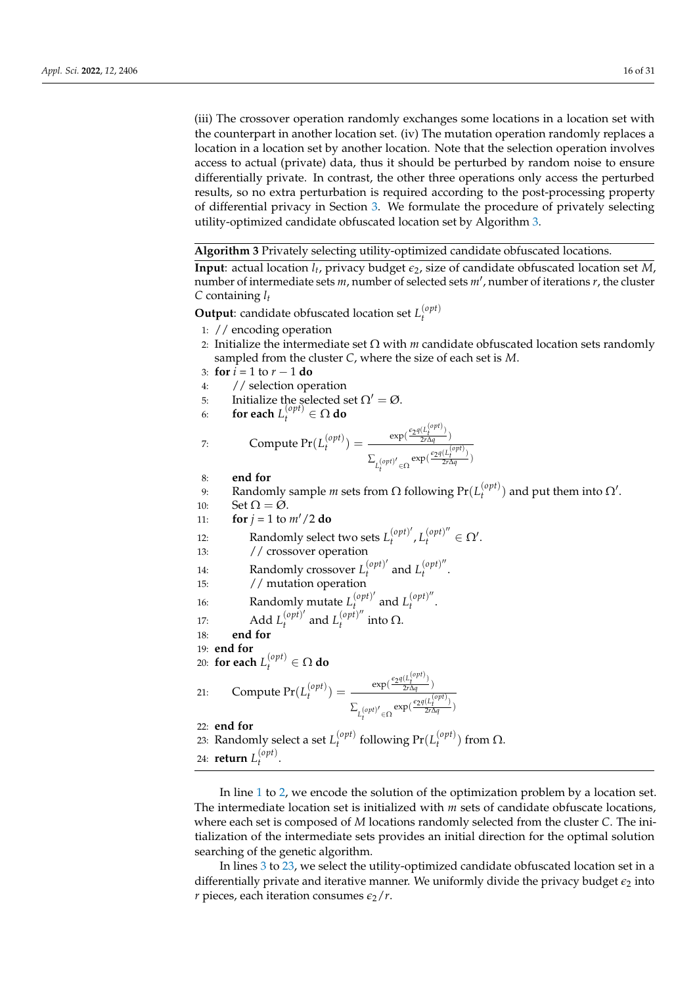(iii) The crossover operation randomly exchanges some locations in a location set with the counterpart in another location set. (iv) The mutation operation randomly replaces a location in a location set by another location. Note that the selection operation involves access to actual (private) data, thus it should be perturbed by random noise to ensure differentially private. In contrast, the other three operations only access the perturbed results, so no extra perturbation is required according to the post-processing property of differential privacy in Section [3.](#page-6-0) We formulate the procedure of privately selecting utility-optimized candidate obfuscated location set by Algorithm [3.](#page-15-0)

<span id="page-15-0"></span>**Algorithm 3** Privately selecting utility-optimized candidate obfuscated locations.

**Input**: actual location *l<sup>t</sup>* , privacy budget *e*2, size of candidate obfuscated location set *M*, number of intermediate sets *m*, number of selected sets *m'*, number of iterations *r*, the cluster *C* containing *l<sup>t</sup>*

**Output**: candidate obfuscated location set *L* (*opt*) *t*

- 1: // encoding operation
- 2: Initialize the intermediate set  $\Omega$  with *m* candidate obfuscated location sets randomly sampled from the cluster *C*, where the size of each set is *M*.
- 3: **for** *i* = 1 to *r* − 1 **do**
- 4: // selection operation
- 5: Initialize the selected set  $\Omega' = \emptyset$ .
- 6: **for each**  $L_t^{(opt)} \in \Omega$  **do**

7: Compute 
$$
Pr(L_t^{(opt)}) = \frac{\exp(\frac{\epsilon_2 q(L_t^{(opt)})}{2r\Delta q})}{\sum_{L_t^{(opt)'} \in \Omega} \exp(\frac{\epsilon_2 q(L_t^{(opt)})}{2r\Delta q})}
$$

- 8: **end for**
- 9: Randomly sample *m* sets from Ω following  $Pr(L_t^{(opt)})$  $t_t^{(opt)}$ ) and put them into  $\Omega'$ .
- 10:  $\operatorname{Set} \Omega = \varnothing$ .
- 11: **for**  $j = 1$  to  $m'/2$  do
- 12: Randomly select two sets  $L_t^{(opt)}$  $\left(\begin{matrix} \textit{opt} \\ t \end{matrix}\right)'$ ,  $L_t^{(\textit{opt})''} \in \Omega'.$
- 13: // crossover operation
- 14: Randomly crossover  $L_t^{(opt)}$  $\int_t^{(opt)}$  and  $L_t^{(opt)}$  $t^{\nu\rho\nu}$ .
- 15: // mutation operation
- 16: Randomly mutate  $L_t^{(opt)}$  $\int_{t}^{(opt)'}$  and  $L_t^{(opt)''}$  $t^{(\nu \rho \nu)}$ .
- 17: **Add**  $L_t^{(opt)}$  $\int_t^{(opt)}$  and  $L_t^{(opt)}$  $\int_t^{(\nu \mu)}$  into  $\Omega$ .
- 18: **end for**
- 19: **end for**
- 20: **for each**  $L_t^{(opt)} \in \Omega$  **do**

21: Compute 
$$
Pr(L_t^{(opt)}) = \frac{\exp(\frac{\epsilon_2 q(L_t^{(opt)})}{2r\Delta q})}{\sum_{L_t^{(opt)'}\in\Omega} \exp(\frac{\epsilon_2 q(L_t^{(opt)})}{2r\Delta q})}
$$

22: **end for**

23: Randomly select a set  $L_t^{(opt)}$  $t_t^{(opt)}$  following  $Pr(L_t^{(opt)})$  $\binom{(\nu \rho \mu)}{t}$  from  $\Omega$ . 24: **return** *L* (*opt*)  $t^{\nu\rho\nu}$ .

In line [1](#page-15-0) to [2,](#page-15-0) we encode the solution of the optimization problem by a location set. The intermediate location set is initialized with *m* sets of candidate obfuscate locations, where each set is composed of *M* locations randomly selected from the cluster *C*. The initialization of the intermediate sets provides an initial direction for the optimal solution searching of the genetic algorithm.

In lines [3](#page-15-0) to [23,](#page-15-0) we select the utility-optimized candidate obfuscated location set in a differentially private and iterative manner. We uniformly divide the privacy budget  $\epsilon_2$  into *r* pieces, each iteration consumes  $\epsilon_2/r$ .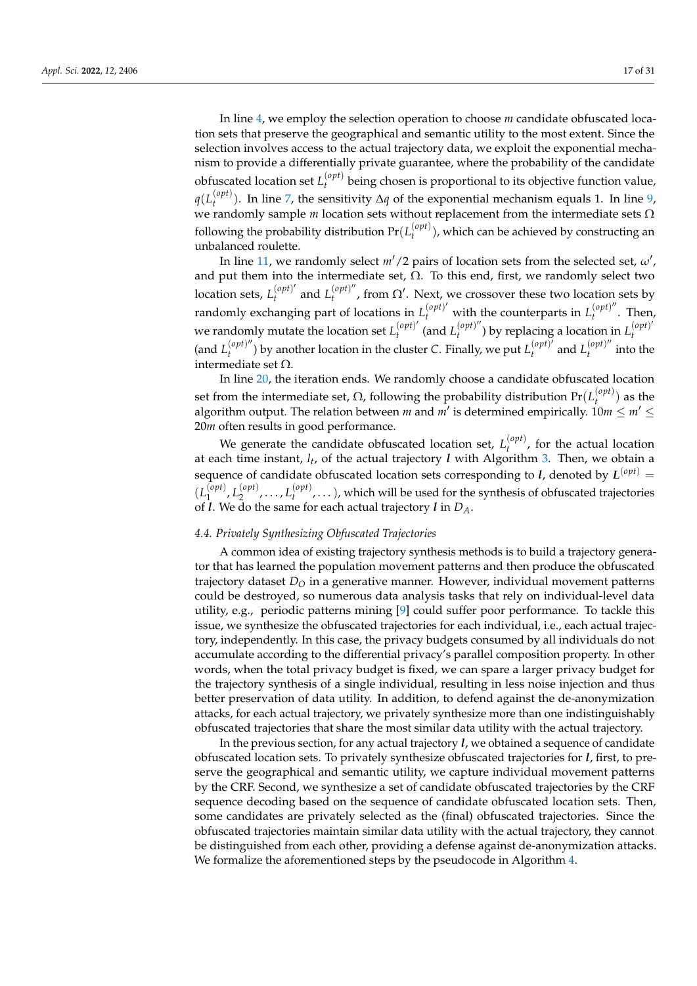In line [4,](#page-15-0) we employ the selection operation to choose *m* candidate obfuscated location sets that preserve the geographical and semantic utility to the most extent. Since the selection involves access to the actual trajectory data, we exploit the exponential mechanism to provide a differentially private guarantee, where the probability of the candidate obfuscated location set *L* (*opt*) *t* being chosen is proportional to its objective function value,  $q(L_t^{(opt)}$ *t* ). In line [7,](#page-15-0) the sensitivity ∆*q* of the exponential mechanism equals 1. In line [9,](#page-15-0) we randomly sample *m* location sets without replacement from the intermediate sets Ω following the probability distribution  $\Pr(L_t^{(opt)}$  $t_t^{(opp)}$ ), which can be achieved by constructing an unbalanced roulette.

In line [11,](#page-15-0) we randomly select  $m'/2$  pairs of location sets from the selected set,  $\omega'$ , and put them into the intermediate set,  $\Omega$ . To this end, first, we randomly select two location sets,  $L_t^{(opt)}$  $\int_t^{(opt)}$  and  $L_t^{(opt)}$  $t_t^{(opt)''}$ , from  $\Omega'$ . Next, we crossover these two location sets by randomly exchanging part of locations in  $L_t^{(opt)'}$  with the counterparts in  $L_t^{(opt)''}$ . Then, *t* we randomly mutate the location set  $L_t^{(opt)}$  $\int_t^{(opt)}$  (and  $L_t^{(opt)}$  $\int_t^{(opt)''}$ ) by replacing a location in  $L_t^{(opt)'}$ *t* (and  $L_t^{(opt)''}$  $t^{(opt)''}$ ) by another location in the cluster *C*. Finally, we put  $L_t^{(opt)}$  $\int_t^{(opt)}$  and  $L_t^{(opt)}$  $\int_t^{(\nu \rho \mu)}$  into the intermediate set  $Ω$ .

In line [20,](#page-15-0) the iteration ends. We randomly choose a candidate obfuscated location set from the intermediate set,  $\Omega$ , following the probability distribution  $Pr(L_t^{(opt)})$  $\binom{op(i)}{t}$  as the algorithm output. The relation between  $m$  and  $m'$  is determined empirically.  $10m \leq m' \leq m$ 20*m* often results in good performance.

We generate the candidate obfuscated location set,  $L_t^{(opt)}$  $t_t^{(opp)}$ , for the actual location at each time instant, *l<sup>t</sup>* , of the actual trajectory *l* with Algorithm [3.](#page-15-0) Then, we obtain a sequence of candidate obfuscated location sets corresponding to *l*, denoted by  $L^{(opt)}$  =  $(L_1^{(opt)}$ 1 , *L* (*opt*)  $L_2^{(opt)}, \ldots, L_t^{(opt)}$  $\binom{op}{t}$ ,...), which will be used for the synthesis of obfuscated trajectories of *l*. We do the same for each actual trajectory *l* in *DA*.

# <span id="page-16-0"></span>*4.4. Privately Synthesizing Obfuscated Trajectories*

A common idea of existing trajectory synthesis methods is to build a trajectory generator that has learned the population movement patterns and then produce the obfuscated trajectory dataset *D<sup>O</sup>* in a generative manner. However, individual movement patterns could be destroyed, so numerous data analysis tasks that rely on individual-level data utility, e.g., periodic patterns mining [\[9\]](#page-29-5) could suffer poor performance. To tackle this issue, we synthesize the obfuscated trajectories for each individual, i.e., each actual trajectory, independently. In this case, the privacy budgets consumed by all individuals do not accumulate according to the differential privacy's parallel composition property. In other words, when the total privacy budget is fixed, we can spare a larger privacy budget for the trajectory synthesis of a single individual, resulting in less noise injection and thus better preservation of data utility. In addition, to defend against the de-anonymization attacks, for each actual trajectory, we privately synthesize more than one indistinguishably obfuscated trajectories that share the most similar data utility with the actual trajectory.

In the previous section, for any actual trajectory *l*, we obtained a sequence of candidate obfuscated location sets. To privately synthesize obfuscated trajectories for *l*, first, to preserve the geographical and semantic utility, we capture individual movement patterns by the CRF. Second, we synthesize a set of candidate obfuscated trajectories by the CRF sequence decoding based on the sequence of candidate obfuscated location sets. Then, some candidates are privately selected as the (final) obfuscated trajectories. Since the obfuscated trajectories maintain similar data utility with the actual trajectory, they cannot be distinguished from each other, providing a defense against de-anonymization attacks. We formalize the aforementioned steps by the pseudocode in Algorithm [4.](#page-17-0)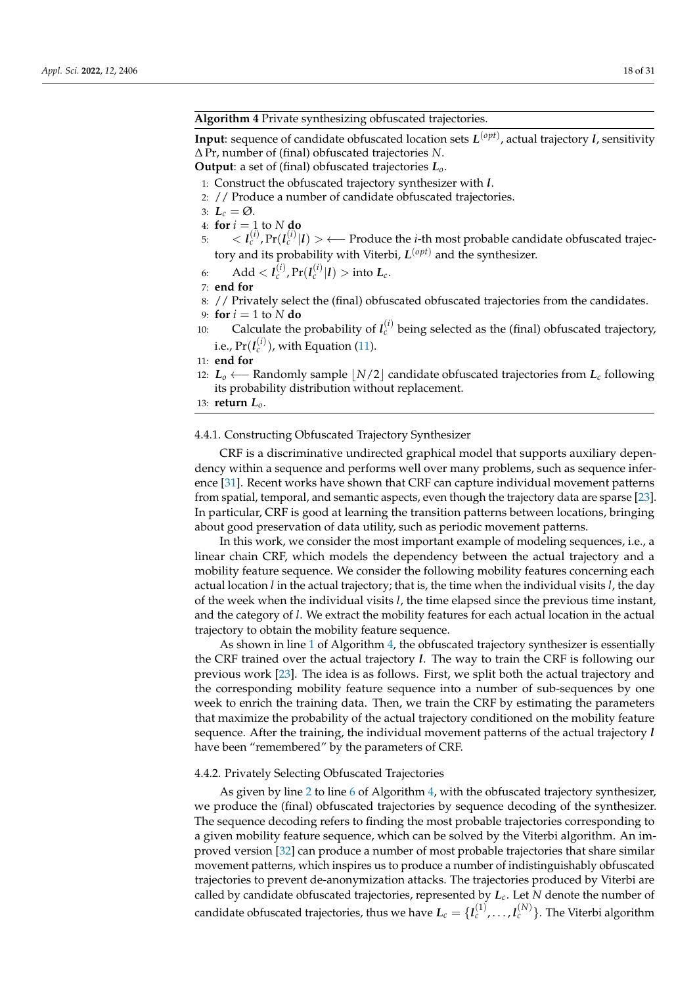# <span id="page-17-0"></span>**Algorithm 4** Private synthesizing obfuscated trajectories.

**Input**: sequence of candidate obfuscated location sets *L* (*opt*) , actual trajectory *l*, sensitivity ∆ Pr, number of (final) obfuscated trajectories *N*.

**Output**: a set of (final) obfuscated trajectories *Lo*.

- 1: Construct the obfuscated trajectory synthesizer with *l*.
- 2: // Produce a number of candidate obfuscated trajectories.
- 3:  $L_c = \emptyset$ .
- 4: **for**  $i = 1$  to  $N$  **do**
- 5:  $\langle l_c^{(i)}, Pr(l_c^{(i)}|l) \rangle$  ← Produce the *i*-th most probable candidate obfuscated trajectory and its probability with Viterbi, *L* (*opt*) and the synthesizer.

$$
6: \qquad \text{Add} < l_c^{(i)}, \Pr(l_c^{(i)}|l) > \text{into } L_c.
$$

- 7: **end for**
- 8: // Privately select the (final) obfuscated obfuscated trajectories from the candidates.
- 9: **for**  $i = 1$  to  $N$  **do**
- 10: Calculate the probability of  $l_c^{(i)}$  being selected as the (final) obfuscated trajectory, i.e.,  $\Pr(\mathit{I}^{(i)}_c)$ , with Equation [\(11\)](#page-18-1).

11: **end for**

12: *L*<sub>*o*</sub> ←− Randomly sample | *N*/2 candidate obfuscated trajectories from *L*<sub>*c*</sub> following its probability distribution without replacement.

13: **return** *Lo*.

#### 4.4.1. Constructing Obfuscated Trajectory Synthesizer

CRF is a discriminative undirected graphical model that supports auxiliary dependency within a sequence and performs well over many problems, such as sequence inference [\[31\]](#page-30-1). Recent works have shown that CRF can capture individual movement patterns from spatial, temporal, and semantic aspects, even though the trajectory data are sparse [\[23\]](#page-29-19). In particular, CRF is good at learning the transition patterns between locations, bringing about good preservation of data utility, such as periodic movement patterns.

In this work, we consider the most important example of modeling sequences, i.e., a linear chain CRF, which models the dependency between the actual trajectory and a mobility feature sequence. We consider the following mobility features concerning each actual location *l* in the actual trajectory; that is, the time when the individual visits *l*, the day of the week when the individual visits *l*, the time elapsed since the previous time instant, and the category of *l*. We extract the mobility features for each actual location in the actual trajectory to obtain the mobility feature sequence.

As shown in line [1](#page-17-0) of Algorithm [4,](#page-17-0) the obfuscated trajectory synthesizer is essentially the CRF trained over the actual trajectory *l*. The way to train the CRF is following our previous work [\[23\]](#page-29-19). The idea is as follows. First, we split both the actual trajectory and the corresponding mobility feature sequence into a number of sub-sequences by one week to enrich the training data. Then, we train the CRF by estimating the parameters that maximize the probability of the actual trajectory conditioned on the mobility feature sequence. After the training, the individual movement patterns of the actual trajectory *l* have been "remembered" by the parameters of CRF.

#### 4.4.2. Privately Selecting Obfuscated Trajectories

As given by line [2](#page-17-0) to line [6](#page-17-0) of Algorithm [4,](#page-17-0) with the obfuscated trajectory synthesizer, we produce the (final) obfuscated trajectories by sequence decoding of the synthesizer. The sequence decoding refers to finding the most probable trajectories corresponding to a given mobility feature sequence, which can be solved by the Viterbi algorithm. An improved version [\[32\]](#page-30-2) can produce a number of most probable trajectories that share similar movement patterns, which inspires us to produce a number of indistinguishably obfuscated trajectories to prevent de-anonymization attacks. The trajectories produced by Viterbi are called by candidate obfuscated trajectories, represented by *Lc*. Let *N* denote the number of candidate obfuscated trajectories, thus we have  $L_c = \{I_c^{(1)}, \ldots, I_c^{(N)}\}$ . The Viterbi algorithm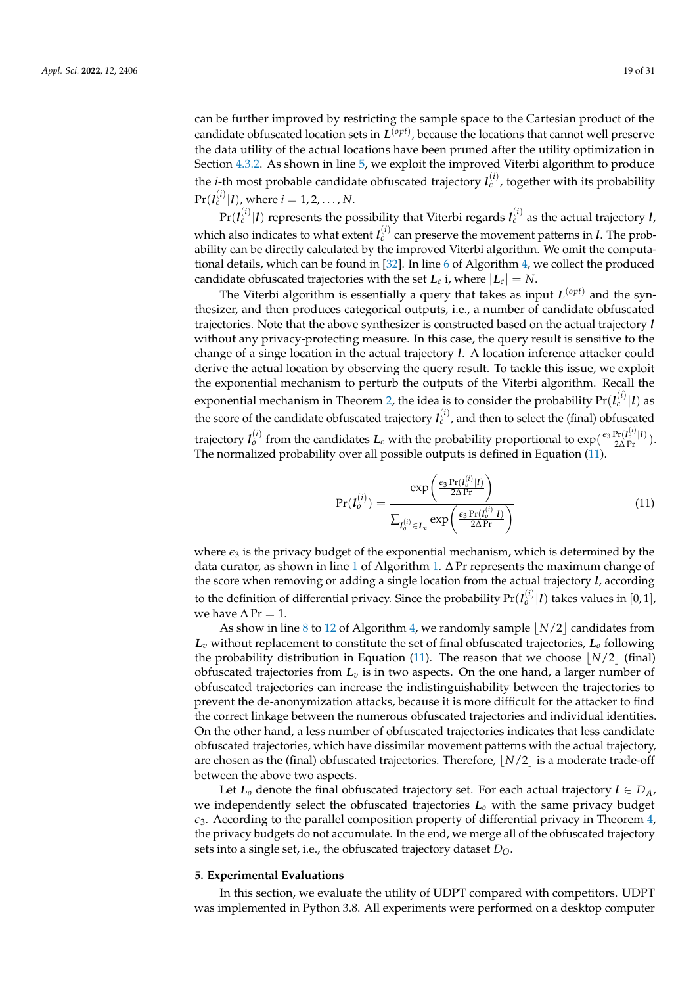Section [4.3.2.](#page-14-4) As shown in line [5,](#page-17-0) we exploit the improved Viterbi algorithm to produce the *i*-th most probable candidate obfuscated trajectory  $l_c^{(i)}$ , together with its probability  $\Pr(l_c^{(i)}|l)$ , where  $i=1,2,\ldots,N$ .

 $\Pr(l_c^{(i)}|l)$  represents the possibility that Viterbi regards  $l_c^{(i)}$  as the actual trajectory *l*, which also indicates to what extent  $l_c^{(i)}$  can preserve the movement patterns in  $l$ . The probability can be directly calculated by the improved Viterbi algorithm. We omit the computational details, which can be found in [\[32\]](#page-30-2). In line [6](#page-17-0) of Algorithm [4,](#page-17-0) we collect the produced candidate obfuscated trajectories with the set  $L_c$  i, where  $|L_c| = N$ .

The Viterbi algorithm is essentially a query that takes as input *L* (*opt*) and the synthesizer, and then produces categorical outputs, i.e., a number of candidate obfuscated trajectories. Note that the above synthesizer is constructed based on the actual trajectory *l* without any privacy-protecting measure. In this case, the query result is sensitive to the change of a singe location in the actual trajectory *l*. A location inference attacker could derive the actual location by observing the query result. To tackle this issue, we exploit the exponential mechanism to perturb the outputs of the Viterbi algorithm. Recall the exponential mechanism in Theorem [2,](#page-8-2) the idea is to consider the probability  $\Pr(l_c^{(i)}|l)$  as the score of the candidate obfuscated trajectory  $I_c^{(i)}$ , and then to select the (final) obfuscated trajectory  $I_o^{(i)}$  from the candidates  $L_c$  with the probability proportional to  $\exp(\frac{\epsilon_3 \Pr(I_o^{(i)}|I)}{2\Delta\Pr})$ . The normalized probability over all possible outputs is defined in Equation [\(11\)](#page-18-1).

<span id="page-18-1"></span>
$$
Pr(I_o^{(i)}) = \frac{\exp\left(\frac{\epsilon_3 Pr(I_o^{(i)}|I)}{2\Delta Pr}\right)}{\sum_{I_o^{(i)} \in L_c} \exp\left(\frac{\epsilon_3 Pr(I_o^{(i)}|I)}{2\Delta Pr}\right)}
$$
(11)

where  $\epsilon_3$  is the privacy budget of the exponential mechanism, which is determined by the data curator, as shown in line [1](#page-9-0) of Algorithm [1.](#page-9-0)  $\Delta$  Pr represents the maximum change of the score when removing or adding a single location from the actual trajectory *l*, according to the definition of differential privacy. Since the probability  $\Pr(l_o^{(i)}|l)$  takes values in  $[0,1]$ , we have  $\Delta \Pr = 1$ .

As show in line [8](#page-17-0) to [12](#page-17-0) of Algorithm [4,](#page-17-0) we randomly sample  $N/2$  candidates from *L<sup>v</sup>* without replacement to constitute the set of final obfuscated trajectories, *L<sup>o</sup>* following the probability distribution in Equation [\(11\)](#page-18-1). The reason that we choose  $[N/2]$  (final) obfuscated trajectories from *L<sup>v</sup>* is in two aspects. On the one hand, a larger number of obfuscated trajectories can increase the indistinguishability between the trajectories to prevent the de-anonymization attacks, because it is more difficult for the attacker to find the correct linkage between the numerous obfuscated trajectories and individual identities. On the other hand, a less number of obfuscated trajectories indicates that less candidate obfuscated trajectories, which have dissimilar movement patterns with the actual trajectory, are chosen as the (final) obfuscated trajectories. Therefore,  $\lfloor N/2 \rfloor$  is a moderate trade-off between the above two aspects.

Let  $L_0$  denote the final obfuscated trajectory set. For each actual trajectory  $l \in D_A$ , we independently select the obfuscated trajectories  $L<sub>o</sub>$  with the same privacy budget  $\epsilon_3$ . According to the parallel composition property of differential privacy in Theorem  $4$ , the privacy budgets do not accumulate. In the end, we merge all of the obfuscated trajectory sets into a single set, i.e., the obfuscated trajectory dataset *DO*.

# <span id="page-18-0"></span>**5. Experimental Evaluations**

In this section, we evaluate the utility of UDPT compared with competitors. UDPT was implemented in Python 3.8. All experiments were performed on a desktop computer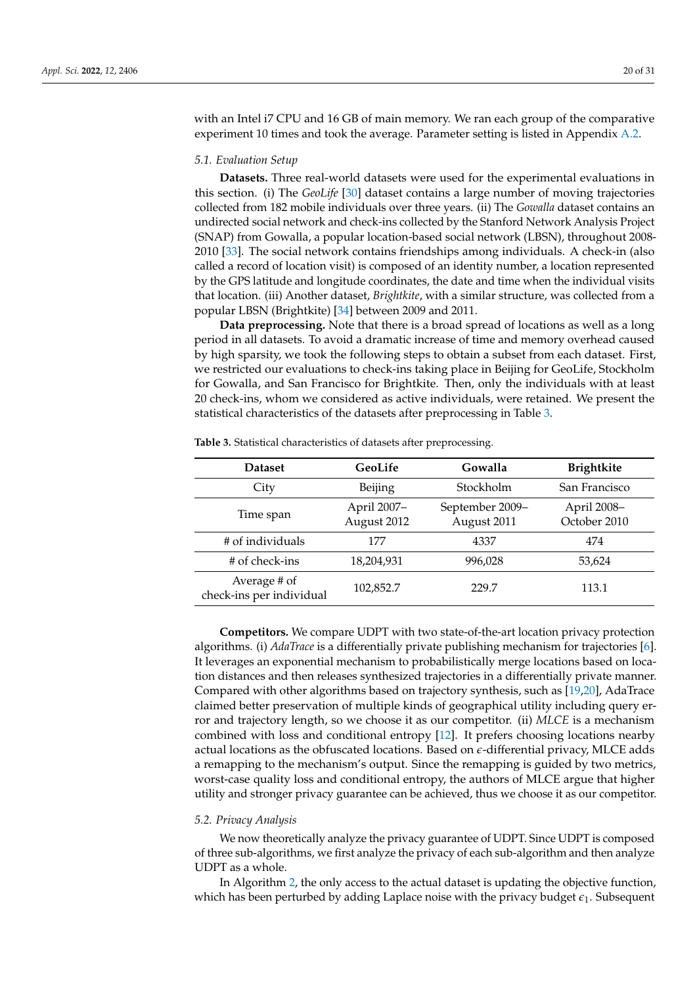with an Intel i7 CPU and 16 GB of main memory. We ran each group of the comparative experiment 10 times and took the average. Parameter setting is listed in Appendix [A.2.](#page-27-0)

#### *5.1. Evaluation Setup*

**Datasets.** Three real-world datasets were used for the experimental evaluations in this section. (i) The *GeoLife* [\[30\]](#page-30-0) dataset contains a large number of moving trajectories collected from 182 mobile individuals over three years. (ii) The *Gowalla* dataset contains an undirected social network and check-ins collected by the Stanford Network Analysis Project (SNAP) from Gowalla, a popular location-based social network (LBSN), throughout 2008- 2010 [\[33\]](#page-30-3). The social network contains friendships among individuals. A check-in (also called a record of location visit) is composed of an identity number, a location represented by the GPS latitude and longitude coordinates, the date and time when the individual visits that location. (iii) Another dataset, *Brightkite*, with a similar structure, was collected from a popular LBSN (Brightkite) [\[34\]](#page-30-4) between 2009 and 2011.

**Data preprocessing.** Note that there is a broad spread of locations as well as a long period in all datasets. To avoid a dramatic increase of time and memory overhead caused by high sparsity, we took the following steps to obtain a subset from each dataset. First, we restricted our evaluations to check-ins taking place in Beijing for GeoLife, Stockholm for Gowalla, and San Francisco for Brightkite. Then, only the individuals with at least 20 check-ins, whom we considered as active individuals, were retained. We present the statistical characteristics of the datasets after preprocessing in Table [3.](#page-19-0)

| <b>Dataset</b>                           | GeoLife                    | Gowalla                        | <b>Brightkite</b>           |
|------------------------------------------|----------------------------|--------------------------------|-----------------------------|
| City                                     | Beijing                    | Stockholm                      | San Francisco               |
| Time span                                | April 2007-<br>August 2012 | September 2009-<br>August 2011 | April 2008-<br>October 2010 |
| # of individuals                         | 177                        | 4337                           | 474                         |
| # of check-ins                           | 18,204,931                 | 996,028                        | 53,624                      |
| Average # of<br>check-ins per individual | 102,852.7                  | 229.7                          | 113.1                       |

<span id="page-19-0"></span>**Table 3.** Statistical characteristics of datasets after preprocessing.

**Competitors.** We compare UDPT with two state-of-the-art location privacy protection algorithms. (i) *AdaTrace* is a differentially private publishing mechanism for trajectories [\[6\]](#page-29-2). It leverages an exponential mechanism to probabilistically merge locations based on location distances and then releases synthesized trajectories in a differentially private manner. Compared with other algorithms based on trajectory synthesis, such as [\[19,](#page-29-15)[20\]](#page-29-16), AdaTrace claimed better preservation of multiple kinds of geographical utility including query error and trajectory length, so we choose it as our competitor. (ii) *MLCE* is a mechanism combined with loss and conditional entropy [\[12\]](#page-29-8). It prefers choosing locations nearby actual locations as the obfuscated locations. Based on *e*-differential privacy, MLCE adds a remapping to the mechanism's output. Since the remapping is guided by two metrics, worst-case quality loss and conditional entropy, the authors of MLCE argue that higher utility and stronger privacy guarantee can be achieved, thus we choose it as our competitor.

#### *5.2. Privacy Analysis*

We now theoretically analyze the privacy guarantee of UDPT. Since UDPT is composed of three sub-algorithms, we first analyze the privacy of each sub-algorithm and then analyze UDPT as a whole.

In Algorithm [2,](#page-11-1) the only access to the actual dataset is updating the objective function, which has been perturbed by adding Laplace noise with the privacy budget  $\epsilon_1$ . Subsequent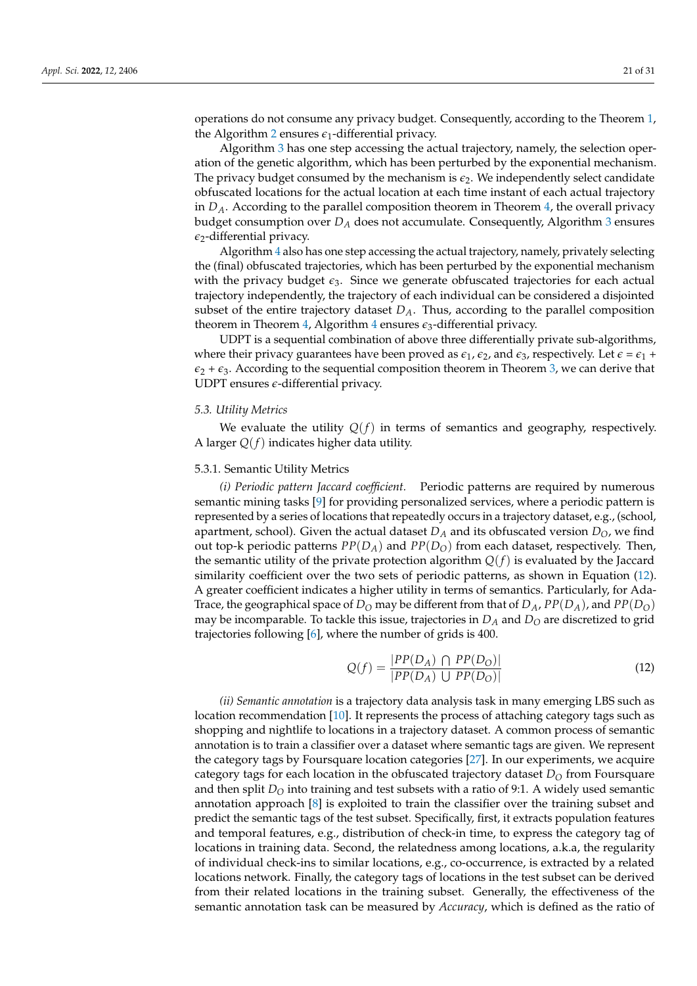the Algorithm [2](#page-11-1) ensures  $\epsilon_1$ -differential privacy. Algorithm [3](#page-15-0) has one step accessing the actual trajectory, namely, the selection operation of the genetic algorithm, which has been perturbed by the exponential mechanism. The privacy budget consumed by the mechanism is  $\epsilon_2$ . We independently select candidate obfuscated locations for the actual location at each time instant of each actual trajectory in *DA*. According to the parallel composition theorem in Theorem [4,](#page-8-3) the overall privacy budget consumption over *D<sup>A</sup>* does not accumulate. Consequently, Algorithm [3](#page-15-0) ensures  $\epsilon_2$ -differential privacy.

Algorithm [4](#page-17-0) also has one step accessing the actual trajectory, namely, privately selecting the (final) obfuscated trajectories, which has been perturbed by the exponential mechanism with the privacy budget  $\epsilon_3$ . Since we generate obfuscated trajectories for each actual trajectory independently, the trajectory of each individual can be considered a disjointed subset of the entire trajectory dataset *DA*. Thus, according to the parallel composition theorem in Theorem [4,](#page-8-3) Algorithm [4](#page-17-0) ensures  $\epsilon_3$ -differential privacy.

UDPT is a sequential combination of above three differentially private sub-algorithms, where their privacy guarantees have been proved as  $\epsilon_1$ ,  $\epsilon_2$ , and  $\epsilon_3$ , respectively. Let  $\epsilon = \epsilon_1 + \epsilon_2$  $\epsilon_2$  +  $\epsilon_3$ . According to the sequential composition theorem in Theorem [3,](#page-8-4) we can derive that UDPT ensures *e*-differential privacy.

# *5.3. Utility Metrics*

We evaluate the utility  $Q(f)$  in terms of semantics and geography, respectively. A larger *Q*(*f*) indicates higher data utility.

#### 5.3.1. Semantic Utility Metrics

*(i) Periodic pattern Jaccard coefficient.* Periodic patterns are required by numerous semantic mining tasks [\[9\]](#page-29-5) for providing personalized services, where a periodic pattern is represented by a series of locations that repeatedly occurs in a trajectory dataset, e.g., (school, apartment, school). Given the actual dataset  $D_A$  and its obfuscated version  $D_O$ , we find out top-k periodic patterns  $PP(D_A)$  and  $PP(D_O)$  from each dataset, respectively. Then, the semantic utility of the private protection algorithm  $Q(f)$  is evaluated by the Jaccard similarity coefficient over the two sets of periodic patterns, as shown in Equation [\(12\)](#page-20-0). A greater coefficient indicates a higher utility in terms of semantics. Particularly, for Ada-Trace, the geographical space of  $D<sub>O</sub>$  may be different from that of  $D<sub>A</sub>$ ,  $PP(D<sub>A</sub>)$ , and  $PP(D<sub>O</sub>)$ may be incomparable. To tackle this issue, trajectories in *D<sup>A</sup>* and *D<sup>O</sup>* are discretized to grid trajectories following [\[6\]](#page-29-2), where the number of grids is 400.

<span id="page-20-0"></span>
$$
Q(f) = \frac{|PP(D_A) \cap PP(D_O)|}{|PP(D_A) \cup PP(D_O)|} \tag{12}
$$

*(ii) Semantic annotation* is a trajectory data analysis task in many emerging LBS such as location recommendation [\[10\]](#page-29-6). It represents the process of attaching category tags such as shopping and nightlife to locations in a trajectory dataset. A common process of semantic annotation is to train a classifier over a dataset where semantic tags are given. We represent the category tags by Foursquare location categories [\[27\]](#page-29-23). In our experiments, we acquire category tags for each location in the obfuscated trajectory dataset  $D<sub>O</sub>$  from Foursquare and then split  $D<sub>O</sub>$  into training and test subsets with a ratio of 9:1. A widely used semantic annotation approach [\[8\]](#page-29-4) is exploited to train the classifier over the training subset and predict the semantic tags of the test subset. Specifically, first, it extracts population features and temporal features, e.g., distribution of check-in time, to express the category tag of locations in training data. Second, the relatedness among locations, a.k.a, the regularity of individual check-ins to similar locations, e.g., co-occurrence, is extracted by a related locations network. Finally, the category tags of locations in the test subset can be derived from their related locations in the training subset. Generally, the effectiveness of the semantic annotation task can be measured by *Accuracy*, which is defined as the ratio of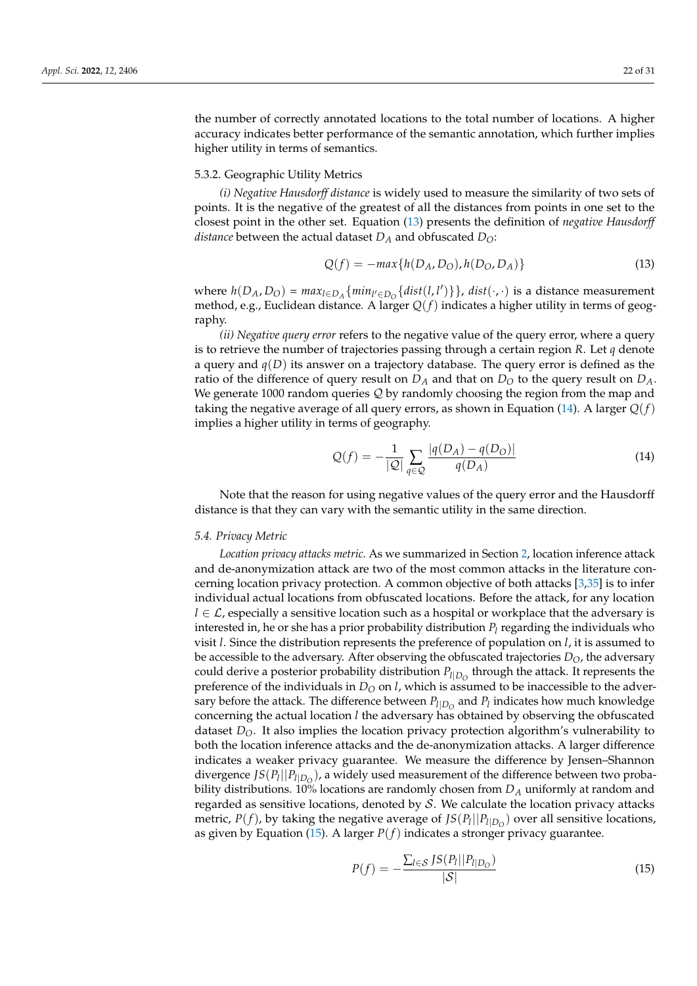the number of correctly annotated locations to the total number of locations. A higher accuracy indicates better performance of the semantic annotation, which further implies higher utility in terms of semantics.

# 5.3.2. Geographic Utility Metrics

*(i) Negative Hausdorff distance* is widely used to measure the similarity of two sets of points. It is the negative of the greatest of all the distances from points in one set to the closest point in the other set. Equation [\(13\)](#page-21-0) presents the definition of *negative Hausdorff distance* between the actual dataset  $D_A$  and obfuscated  $D_O$ :

<span id="page-21-0"></span>
$$
Q(f) = -\max\{h(D_A, D_O), h(D_O, D_A)\}\tag{13}
$$

where  $h(D_A, D_O) = max_{l \in D_A} \{ min_{l' \in D_O} \{ dist(l, l') \} \}$ ,  $dist(\cdot, \cdot)$  is a distance measurement method, e.g., Euclidean distance. A larger *Q*(*f*) indicates a higher utility in terms of geography.

*(ii) Negative query error* refers to the negative value of the query error, where a query is to retrieve the number of trajectories passing through a certain region *R*. Let *q* denote a query and  $q(D)$  its answer on a trajectory database. The query error is defined as the ratio of the difference of query result on  $D_A$  and that on  $D_O$  to the query result on  $D_A$ . We generate 1000 random queries  $Q$  by randomly choosing the region from the map and taking the negative average of all query errors, as shown in Equation [\(14\)](#page-21-1). A larger  $Q(f)$ implies a higher utility in terms of geography.

<span id="page-21-1"></span>
$$
Q(f) = -\frac{1}{|Q|} \sum_{q \in Q} \frac{|q(D_A) - q(D_O)|}{q(D_A)} \tag{14}
$$

Note that the reason for using negative values of the query error and the Hausdorff distance is that they can vary with the semantic utility in the same direction.

# <span id="page-21-3"></span>*5.4. Privacy Metric*

*Location privacy attacks metric.* As we summarized in Section [2,](#page-2-1) location inference attack and de-anonymization attack are two of the most common attacks in the literature concerning location privacy protection. A common objective of both attacks [\[3,](#page-28-2)[35\]](#page-30-5) is to infer individual actual locations from obfuscated locations. Before the attack, for any location *l* ∈ *L*, especially a sensitive location such as a hospital or workplace that the adversary is interested in, he or she has a prior probability distribution  $P_l$  regarding the individuals who visit *l*. Since the distribution represents the preference of population on *l*, it is assumed to be accessible to the adversary. After observing the obfuscated trajectories *DO*, the adversary could derive a posterior probability distribution  $P_{l|D_O}$  through the attack. It represents the preference of the individuals in  $D<sub>O</sub>$  on *l*, which is assumed to be inaccessible to the adversary before the attack. The difference between  $P_{l|D_O}$  and  $P_l$  indicates how much knowledge concerning the actual location *l* the adversary has obtained by observing the obfuscated dataset  $D_{\Omega}$ . It also implies the location privacy protection algorithm's vulnerability to both the location inference attacks and the de-anonymization attacks. A larger difference indicates a weaker privacy guarantee. We measure the difference by Jensen–Shannon divergence *JS*(*P<sup>l</sup>* ||*Pl*|*D<sup>O</sup>* ), a widely used measurement of the difference between two probability distributions. 10% locations are randomly chosen from *D<sup>A</sup>* uniformly at random and regarded as sensitive locations, denoted by  $S$ . We calculate the location privacy attacks metric,  $P(f)$ , by taking the negative average of  $JS(P_l||P_{l|D_O})$  over all sensitive locations, as given by Equation [\(15\)](#page-21-2). A larger *P*(*f*) indicates a stronger privacy guarantee.

<span id="page-21-2"></span>
$$
P(f) = -\frac{\sum_{l \in S} JS(P_l || P_{l | D_O})}{|S|} \tag{15}
$$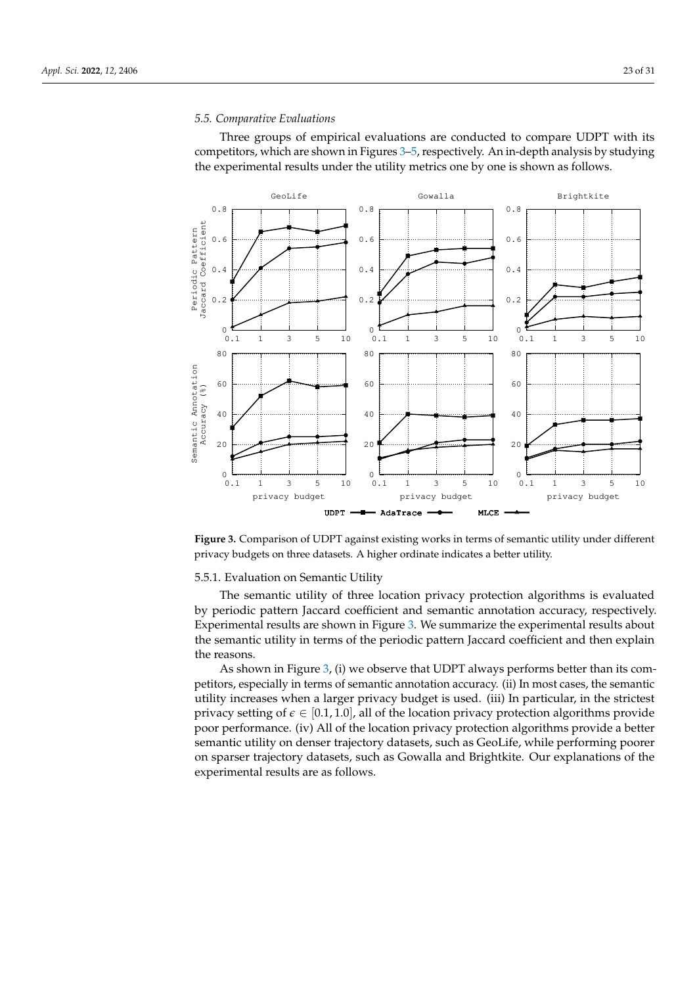#### *5.5. Comparative Evaluations*

Three groups of empirical evaluations are conducted to compare UDPT with its competitors, which are shown in Figures [3](#page-22-0)[–5,](#page-23-0) respectively. An in-depth analysis by studying the experimental results under the utility metrics one by one is shown as follows.

<span id="page-22-0"></span>

**Figure 3.** Comparison of UDPT against existing works in terms of semantic utility under different privacy budgets on three datasets. A higher ordinate indicates a better utility.

#### 5.5.1. Evaluation on Semantic Utility

The semantic utility of three location privacy protection algorithms is evaluated by periodic pattern Jaccard coefficient and semantic annotation accuracy, respectively. Experimental results are shown in Figure [3.](#page-22-0) We summarize the experimental results about the semantic utility in terms of the periodic pattern Jaccard coefficient and then explain the reasons.

As shown in Figure [3,](#page-22-0) (i) we observe that UDPT always performs better than its competitors, especially in terms of semantic annotation accuracy. (ii) In most cases, the semantic utility increases when a larger privacy budget is used. (iii) In particular, in the strictest privacy setting of  $\epsilon \in [0.1, 1.0]$ , all of the location privacy protection algorithms provide poor performance. (iv) All of the location privacy protection algorithms provide a better semantic utility on denser trajectory datasets, such as GeoLife, while performing poorer on sparser trajectory datasets, such as Gowalla and Brightkite. Our explanations of the experimental results are as follows.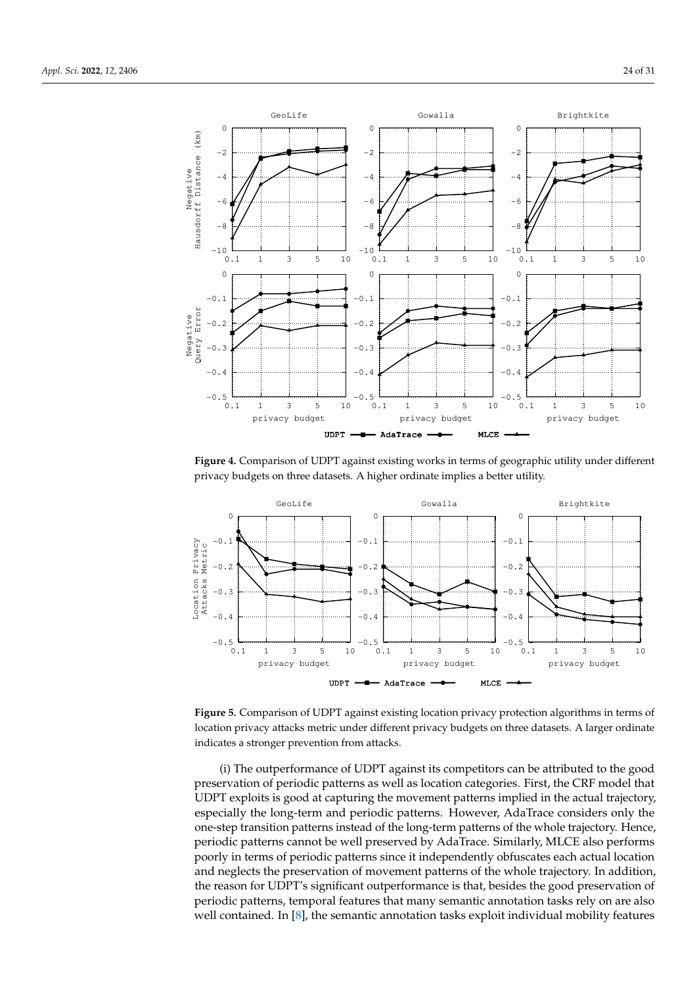<span id="page-23-1"></span>

**Figure 4.** Comparison of UDPT against existing works in terms of geographic utility under different privacy budgets on three datasets. A higher ordinate implies a better utility.

<span id="page-23-0"></span>

**Figure 5.** Comparison of UDPT against existing location privacy protection algorithms in terms of location privacy attacks metric under different privacy budgets on three datasets. A larger ordinate indicates a stronger prevention from attacks.

(i) The outperformance of UDPT against its competitors can be attributed to the good preservation of periodic patterns as well as location categories. First, the CRF model that UDPT exploits is good at capturing the movement patterns implied in the actual trajectory, especially the long-term and periodic patterns. However, AdaTrace considers only the one-step transition patterns instead of the long-term patterns of the whole trajectory. Hence, periodic patterns cannot be well preserved by AdaTrace. Similarly, MLCE also performs poorly in terms of periodic patterns since it independently obfuscates each actual location and neglects the preservation of movement patterns of the whole trajectory. In addition, the reason for UDPT's significant outperformance is that, besides the good preservation of periodic patterns, temporal features that many semantic annotation tasks rely on are also well contained. In  $[8]$ , the semantic annotation tasks exploit individual mobility features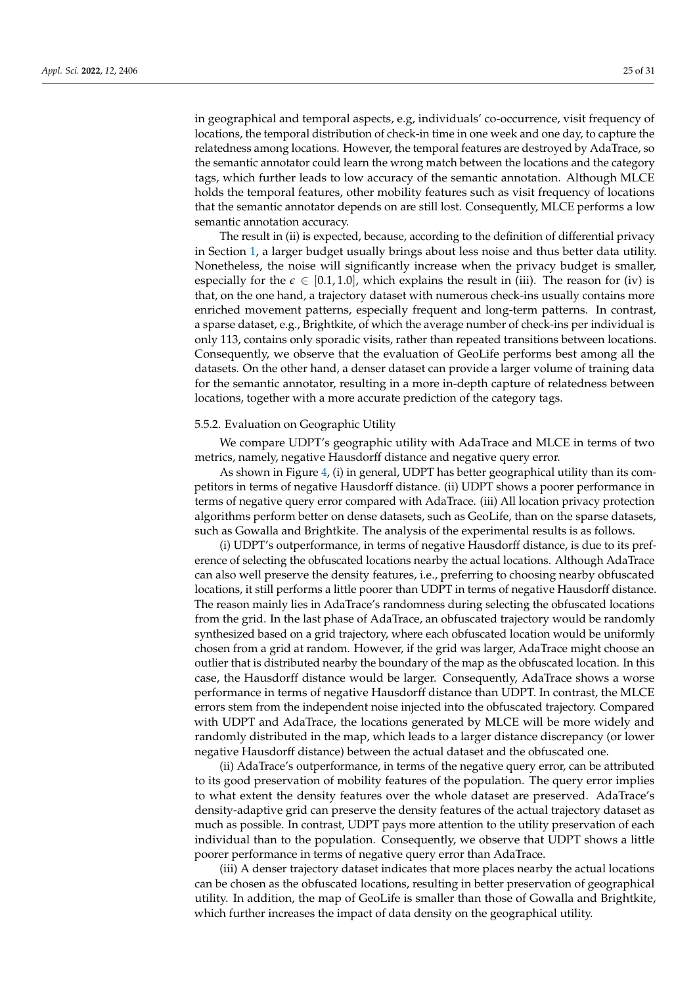in geographical and temporal aspects, e.g, individuals' co-occurrence, visit frequency of locations, the temporal distribution of check-in time in one week and one day, to capture the relatedness among locations. However, the temporal features are destroyed by AdaTrace, so the semantic annotator could learn the wrong match between the locations and the category tags, which further leads to low accuracy of the semantic annotation. Although MLCE holds the temporal features, other mobility features such as visit frequency of locations

semantic annotation accuracy. The result in (ii) is expected, because, according to the definition of differential privacy in Section [1,](#page-7-0) a larger budget usually brings about less noise and thus better data utility. Nonetheless, the noise will significantly increase when the privacy budget is smaller, especially for the  $\epsilon \in [0.1, 1.0]$ , which explains the result in (iii). The reason for (iv) is that, on the one hand, a trajectory dataset with numerous check-ins usually contains more enriched movement patterns, especially frequent and long-term patterns. In contrast, a sparse dataset, e.g., Brightkite, of which the average number of check-ins per individual is only 113, contains only sporadic visits, rather than repeated transitions between locations. Consequently, we observe that the evaluation of GeoLife performs best among all the datasets. On the other hand, a denser dataset can provide a larger volume of training data for the semantic annotator, resulting in a more in-depth capture of relatedness between locations, together with a more accurate prediction of the category tags.

that the semantic annotator depends on are still lost. Consequently, MLCE performs a low

#### 5.5.2. Evaluation on Geographic Utility

We compare UDPT's geographic utility with AdaTrace and MLCE in terms of two metrics, namely, negative Hausdorff distance and negative query error.

As shown in Figure [4,](#page-23-1) (i) in general, UDPT has better geographical utility than its competitors in terms of negative Hausdorff distance. (ii) UDPT shows a poorer performance in terms of negative query error compared with AdaTrace. (iii) All location privacy protection algorithms perform better on dense datasets, such as GeoLife, than on the sparse datasets, such as Gowalla and Brightkite. The analysis of the experimental results is as follows.

(i) UDPT's outperformance, in terms of negative Hausdorff distance, is due to its preference of selecting the obfuscated locations nearby the actual locations. Although AdaTrace can also well preserve the density features, i.e., preferring to choosing nearby obfuscated locations, it still performs a little poorer than UDPT in terms of negative Hausdorff distance. The reason mainly lies in AdaTrace's randomness during selecting the obfuscated locations from the grid. In the last phase of AdaTrace, an obfuscated trajectory would be randomly synthesized based on a grid trajectory, where each obfuscated location would be uniformly chosen from a grid at random. However, if the grid was larger, AdaTrace might choose an outlier that is distributed nearby the boundary of the map as the obfuscated location. In this case, the Hausdorff distance would be larger. Consequently, AdaTrace shows a worse performance in terms of negative Hausdorff distance than UDPT. In contrast, the MLCE errors stem from the independent noise injected into the obfuscated trajectory. Compared with UDPT and AdaTrace, the locations generated by MLCE will be more widely and randomly distributed in the map, which leads to a larger distance discrepancy (or lower negative Hausdorff distance) between the actual dataset and the obfuscated one.

(ii) AdaTrace's outperformance, in terms of the negative query error, can be attributed to its good preservation of mobility features of the population. The query error implies to what extent the density features over the whole dataset are preserved. AdaTrace's density-adaptive grid can preserve the density features of the actual trajectory dataset as much as possible. In contrast, UDPT pays more attention to the utility preservation of each individual than to the population. Consequently, we observe that UDPT shows a little poorer performance in terms of negative query error than AdaTrace.

(iii) A denser trajectory dataset indicates that more places nearby the actual locations can be chosen as the obfuscated locations, resulting in better preservation of geographical utility. In addition, the map of GeoLife is smaller than those of Gowalla and Brightkite, which further increases the impact of data density on the geographical utility.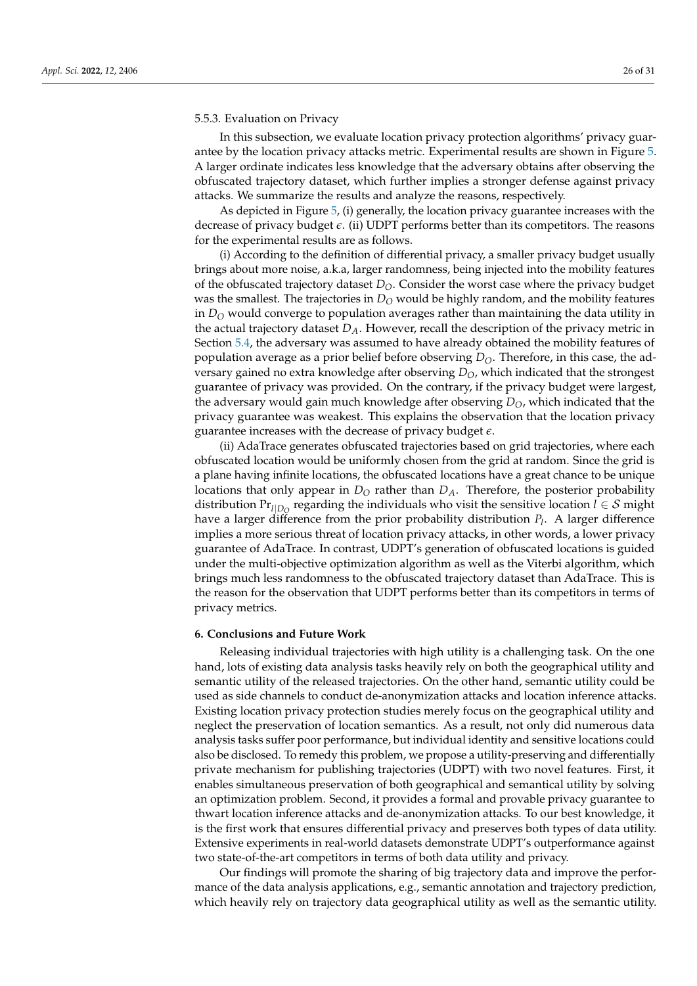#### 5.5.3. Evaluation on Privacy

In this subsection, we evaluate location privacy protection algorithms' privacy guarantee by the location privacy attacks metric. Experimental results are shown in Figure [5.](#page-23-0) A larger ordinate indicates less knowledge that the adversary obtains after observing the obfuscated trajectory dataset, which further implies a stronger defense against privacy attacks. We summarize the results and analyze the reasons, respectively.

As depicted in Figure [5,](#page-23-0) (i) generally, the location privacy guarantee increases with the decrease of privacy budget *e*. (ii) UDPT performs better than its competitors. The reasons for the experimental results are as follows.

(i) According to the definition of differential privacy, a smaller privacy budget usually brings about more noise, a.k.a, larger randomness, being injected into the mobility features of the obfuscated trajectory dataset *DO*. Consider the worst case where the privacy budget was the smallest. The trajectories in  $D<sub>O</sub>$  would be highly random, and the mobility features in *D<sup>O</sup>* would converge to population averages rather than maintaining the data utility in the actual trajectory dataset *DA*. However, recall the description of the privacy metric in Section [5.4,](#page-21-3) the adversary was assumed to have already obtained the mobility features of population average as a prior belief before observing *DO*. Therefore, in this case, the adversary gained no extra knowledge after observing *DO*, which indicated that the strongest guarantee of privacy was provided. On the contrary, if the privacy budget were largest, the adversary would gain much knowledge after observing *DO*, which indicated that the privacy guarantee was weakest. This explains the observation that the location privacy guarantee increases with the decrease of privacy budget *e*.

(ii) AdaTrace generates obfuscated trajectories based on grid trajectories, where each obfuscated location would be uniformly chosen from the grid at random. Since the grid is a plane having infinite locations, the obfuscated locations have a great chance to be unique locations that only appear in *D<sup>O</sup>* rather than *DA*. Therefore, the posterior probability distribution  $Pr_{l|D_Q}$  regarding the individuals who visit the sensitive location  $l \in \mathcal{S}$  might have a larger difference from the prior probability distribution *P<sup>l</sup>* . A larger difference implies a more serious threat of location privacy attacks, in other words, a lower privacy guarantee of AdaTrace. In contrast, UDPT's generation of obfuscated locations is guided under the multi-objective optimization algorithm as well as the Viterbi algorithm, which brings much less randomness to the obfuscated trajectory dataset than AdaTrace. This is the reason for the observation that UDPT performs better than its competitors in terms of privacy metrics.

# <span id="page-25-0"></span>**6. Conclusions and Future Work**

Releasing individual trajectories with high utility is a challenging task. On the one hand, lots of existing data analysis tasks heavily rely on both the geographical utility and semantic utility of the released trajectories. On the other hand, semantic utility could be used as side channels to conduct de-anonymization attacks and location inference attacks. Existing location privacy protection studies merely focus on the geographical utility and neglect the preservation of location semantics. As a result, not only did numerous data analysis tasks suffer poor performance, but individual identity and sensitive locations could also be disclosed. To remedy this problem, we propose a utility-preserving and differentially private mechanism for publishing trajectories (UDPT) with two novel features. First, it enables simultaneous preservation of both geographical and semantical utility by solving an optimization problem. Second, it provides a formal and provable privacy guarantee to thwart location inference attacks and de-anonymization attacks. To our best knowledge, it is the first work that ensures differential privacy and preserves both types of data utility. Extensive experiments in real-world datasets demonstrate UDPT's outperformance against two state-of-the-art competitors in terms of both data utility and privacy.

Our findings will promote the sharing of big trajectory data and improve the performance of the data analysis applications, e.g., semantic annotation and trajectory prediction, which heavily rely on trajectory data geographical utility as well as the semantic utility.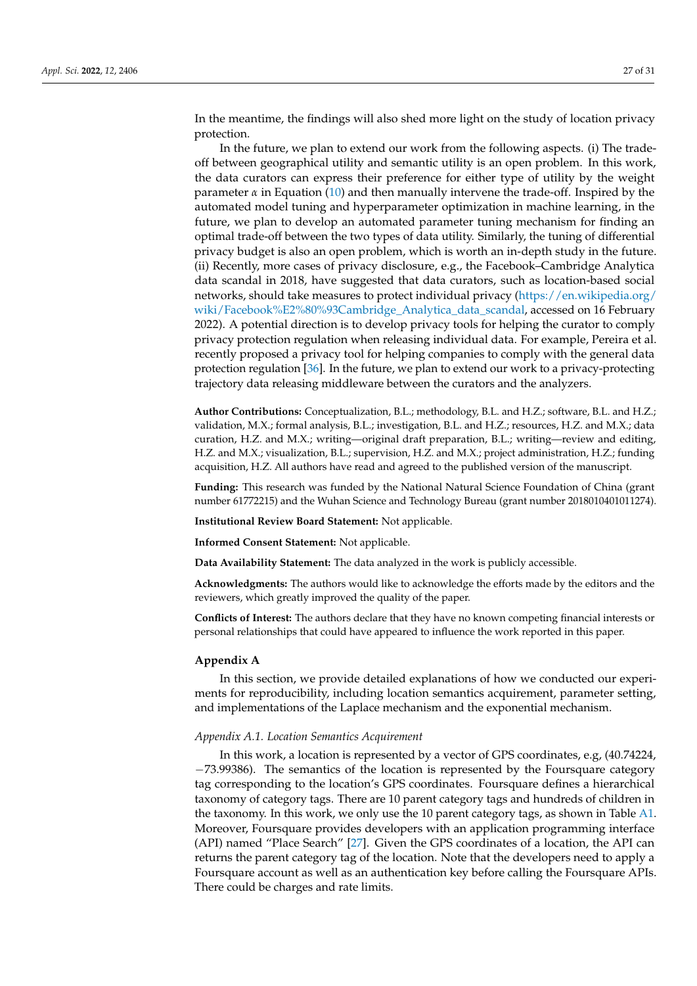In the meantime, the findings will also shed more light on the study of location privacy protection.

In the future, we plan to extend our work from the following aspects. (i) The tradeoff between geographical utility and semantic utility is an open problem. In this work, the data curators can express their preference for either type of utility by the weight parameter  $\alpha$  in Equation [\(10\)](#page-14-3) and then manually intervene the trade-off. Inspired by the automated model tuning and hyperparameter optimization in machine learning, in the future, we plan to develop an automated parameter tuning mechanism for finding an optimal trade-off between the two types of data utility. Similarly, the tuning of differential privacy budget is also an open problem, which is worth an in-depth study in the future. (ii) Recently, more cases of privacy disclosure, e.g., the Facebook–Cambridge Analytica data scandal in 2018, have suggested that data curators, such as location-based social networks, should take measures to protect individual privacy [\(https://en.wikipedia.org/](https://en.wikipedia.org/wiki/Facebook%E2%80%93Cambridge_Analytica_data_scandal) [wiki/Facebook%E2%80%93Cambridge\\_Analytica\\_data\\_scandal,](https://en.wikipedia.org/wiki/Facebook%E2%80%93Cambridge_Analytica_data_scandal) accessed on 16 February 2022). A potential direction is to develop privacy tools for helping the curator to comply privacy protection regulation when releasing individual data. For example, Pereira et al. recently proposed a privacy tool for helping companies to comply with the general data protection regulation [\[36\]](#page-30-6). In the future, we plan to extend our work to a privacy-protecting trajectory data releasing middleware between the curators and the analyzers.

**Author Contributions:** Conceptualization, B.L.; methodology, B.L. and H.Z.; software, B.L. and H.Z.; validation, M.X.; formal analysis, B.L.; investigation, B.L. and H.Z.; resources, H.Z. and M.X.; data curation, H.Z. and M.X.; writing—original draft preparation, B.L.; writing—review and editing, H.Z. and M.X.; visualization, B.L.; supervision, H.Z. and M.X.; project administration, H.Z.; funding acquisition, H.Z. All authors have read and agreed to the published version of the manuscript.

**Funding:** This research was funded by the National Natural Science Foundation of China (grant number 61772215) and the Wuhan Science and Technology Bureau (grant number 2018010401011274).

**Institutional Review Board Statement:** Not applicable.

**Informed Consent Statement:** Not applicable.

**Data Availability Statement:** The data analyzed in the work is publicly accessible.

**Acknowledgments:** The authors would like to acknowledge the efforts made by the editors and the reviewers, which greatly improved the quality of the paper.

**Conflicts of Interest:** The authors declare that they have no known competing financial interests or personal relationships that could have appeared to influence the work reported in this paper.

#### <span id="page-26-0"></span>**Appendix A**

In this section, we provide detailed explanations of how we conducted our experiments for reproducibility, including location semantics acquirement, parameter setting, and implementations of the Laplace mechanism and the exponential mechanism.

#### *Appendix A.1. Location Semantics Acquirement*

In this work, a location is represented by a vector of GPS coordinates, e.g, (40.74224, −73.99386). The semantics of the location is represented by the Foursquare category tag corresponding to the location's GPS coordinates. Foursquare defines a hierarchical taxonomy of category tags. There are 10 parent category tags and hundreds of children in the taxonomy. In this work, we only use the 10 parent category tags, as shown in Table [A1.](#page-27-1) Moreover, Foursquare provides developers with an application programming interface (API) named "Place Search" [\[27\]](#page-29-23). Given the GPS coordinates of a location, the API can returns the parent category tag of the location. Note that the developers need to apply a Foursquare account as well as an authentication key before calling the Foursquare APIs. There could be charges and rate limits.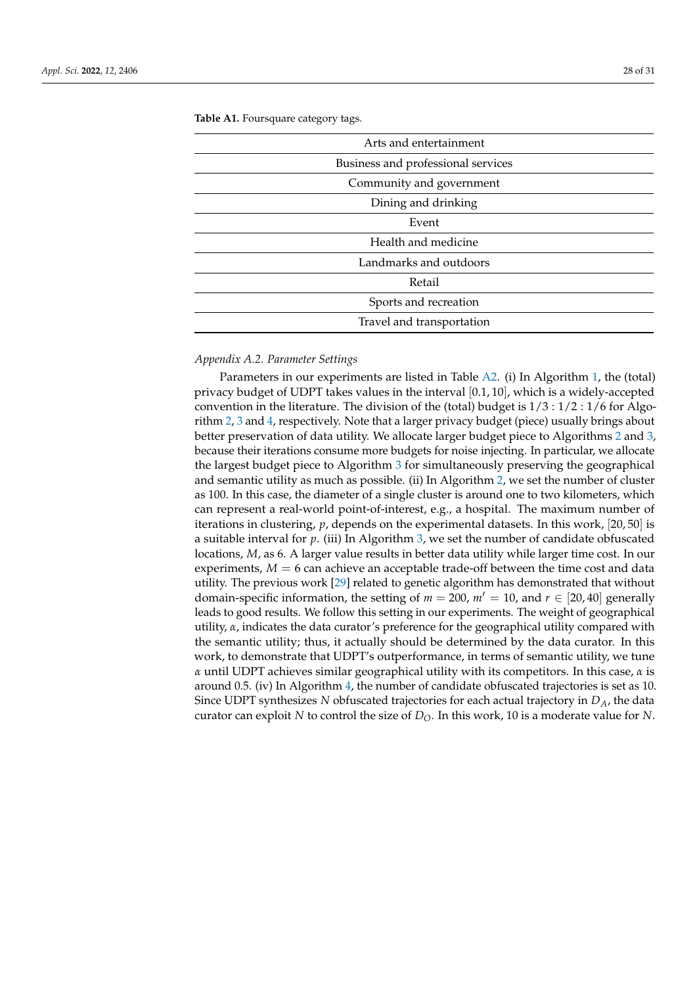| Arts and entertainment             |
|------------------------------------|
| Business and professional services |
| Community and government           |
| Dining and drinking                |
| Event                              |
| Health and medicine                |
| Landmarks and outdoors             |
| Retail                             |
| Sports and recreation              |
| Travel and transportation          |

<span id="page-27-1"></span>**Table A1.** Foursquare category tags.

# <span id="page-27-0"></span>*Appendix A.2. Parameter Settings*

Parameters in our experiments are listed in Table [A2.](#page-28-3) (i) In Algorithm [1,](#page-9-0) the (total) privacy budget of UDPT takes values in the interval  $[0.1, 10]$ , which is a widely-accepted convention in the literature. The division of the (total) budget is  $1/3$  :  $1/2$  :  $1/6$  for Algorithm [2,](#page-11-1) [3](#page-15-0) and [4,](#page-17-0) respectively. Note that a larger privacy budget (piece) usually brings about better preservation of data utility. We allocate larger budget piece to Algorithms [2](#page-11-1) and [3,](#page-15-0) because their iterations consume more budgets for noise injecting. In particular, we allocate the largest budget piece to Algorithm [3](#page-15-0) for simultaneously preserving the geographical and semantic utility as much as possible. (ii) In Algorithm [2,](#page-11-1) we set the number of cluster as 100. In this case, the diameter of a single cluster is around one to two kilometers, which can represent a real-world point-of-interest, e.g., a hospital. The maximum number of iterations in clustering, *p*, depends on the experimental datasets. In this work, [20, 50] is a suitable interval for *p*. (iii) In Algorithm [3,](#page-15-0) we set the number of candidate obfuscated locations, *M*, as 6. A larger value results in better data utility while larger time cost. In our experiments,  $M = 6$  can achieve an acceptable trade-off between the time cost and data utility. The previous work [\[29\]](#page-29-25) related to genetic algorithm has demonstrated that without domain-specific information, the setting of  $m = 200$ ,  $m' = 10$ , and  $r \in [20, 40]$  generally leads to good results. We follow this setting in our experiments. The weight of geographical utility,  $\alpha$ , indicates the data curator's preference for the geographical utility compared with the semantic utility; thus, it actually should be determined by the data curator. In this work, to demonstrate that UDPT's outperformance, in terms of semantic utility, we tune *α* until UDPT achieves similar geographical utility with its competitors. In this case, *α* is around 0.5. (iv) In Algorithm [4,](#page-17-0) the number of candidate obfuscated trajectories is set as 10. Since UDPT synthesizes *N* obfuscated trajectories for each actual trajectory in *DA*, the data curator can exploit *N* to control the size of  $D<sub>O</sub>$ . In this work, 10 is a moderate value for *N*.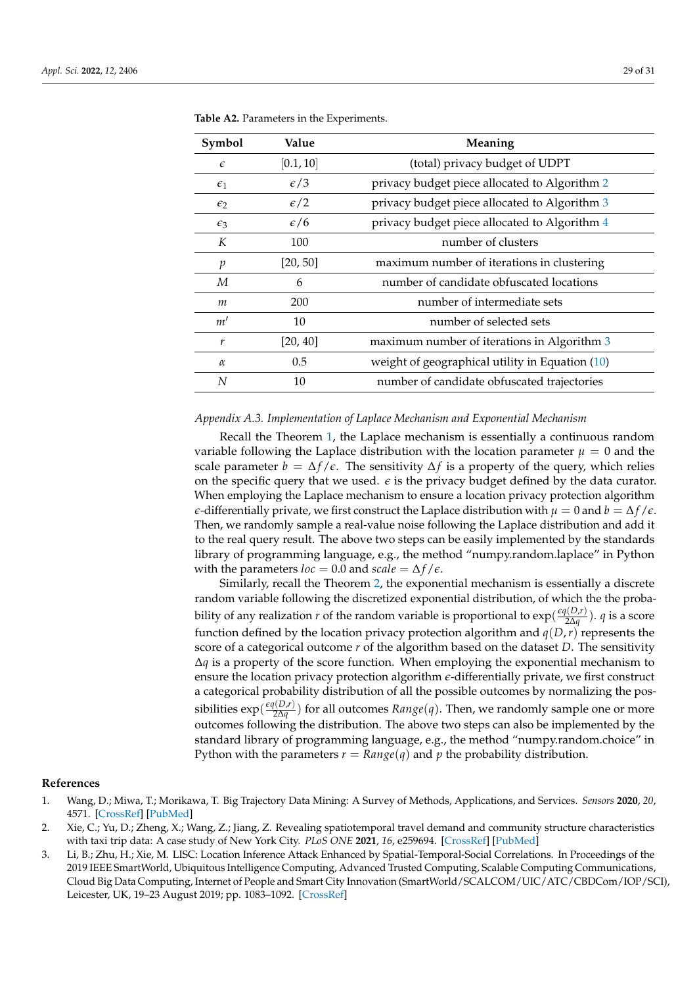| Symbol       | Value        | Meaning                                           |
|--------------|--------------|---------------------------------------------------|
| $\epsilon$   | [0.1, 10]    | (total) privacy budget of UDPT                    |
| $\epsilon_1$ | $\epsilon/3$ | privacy budget piece allocated to Algorithm 2     |
| $\epsilon_2$ | $\epsilon/2$ | privacy budget piece allocated to Algorithm 3     |
| $\epsilon_3$ | $\epsilon/6$ | privacy budget piece allocated to Algorithm 4     |
| K            | 100          | number of clusters                                |
| p            | [20, 50]     | maximum number of iterations in clustering        |
| М            | 6            | number of candidate obfuscated locations          |
| m            | 200          | number of intermediate sets                       |
| m'           | 10           | number of selected sets                           |
| r            | [20, 40]     | maximum number of iterations in Algorithm 3       |
| $\alpha$     | 0.5          | weight of geographical utility in Equation $(10)$ |
| N            | 10           | number of candidate obfuscated trajectories       |

<span id="page-28-3"></span>**Table A2.** Parameters in the Experiments.

# *Appendix A.3. Implementation of Laplace Mechanism and Exponential Mechanism*

Recall the Theorem [1,](#page-8-1) the Laplace mechanism is essentially a continuous random variable following the Laplace distribution with the location parameter  $\mu = 0$  and the scale parameter  $b = \Delta f / \epsilon$ . The sensitivity  $\Delta f$  is a property of the query, which relies on the specific query that we used.  $\epsilon$  is the privacy budget defined by the data curator. When employing the Laplace mechanism to ensure a location privacy protection algorithm *e*-differentially private, we first construct the Laplace distribution with  $\mu = 0$  and  $b = \Delta f / \epsilon$ . Then, we randomly sample a real-value noise following the Laplace distribution and add it to the real query result. The above two steps can be easily implemented by the standards library of programming language, e.g., the method "numpy.random.laplace" in Python with the parameters *loc* = 0.0 and *scale* =  $\Delta f/\epsilon$ .

Similarly, recall the Theorem [2,](#page-8-2) the exponential mechanism is essentially a discrete random variable following the discretized exponential distribution, of which the the probability of any realization *r* of the random variable is proportional to  $\exp(\frac{\epsilon q(D_r)}{2\Delta a})$  $\frac{q(D,r)}{2\Delta q}$ ). *q* is a score function defined by the location privacy protection algorithm and  $q(D,r)$  represents the score of a categorical outcome *r* of the algorithm based on the dataset *D*. The sensitivity ∆*q* is a property of the score function. When employing the exponential mechanism to ensure the location privacy protection algorithm *e*-differentially private, we first construct a categorical probability distribution of all the possible outcomes by normalizing the possibilities  $\exp(\frac{\epsilon q(D,r)}{2\Delta a})$ 2∆*q* ) for all outcomes *Range*(*q*). Then, we randomly sample one or more outcomes following the distribution. The above two steps can also be implemented by the standard library of programming language, e.g., the method "numpy.random.choice" in Python with the parameters  $r = Range(q)$  and p the probability distribution.

#### **References**

- <span id="page-28-0"></span>1. Wang, D.; Miwa, T.; Morikawa, T. Big Trajectory Data Mining: A Survey of Methods, Applications, and Services. *Sensors* **2020**, *20*, 4571. [\[CrossRef\]](http://doi.org/10.3390/s20164571) [\[PubMed\]](http://www.ncbi.nlm.nih.gov/pubmed/32824028)
- <span id="page-28-1"></span>2. Xie, C.; Yu, D.; Zheng, X.; Wang, Z.; Jiang, Z. Revealing spatiotemporal travel demand and community structure characteristics with taxi trip data: A case study of New York City. *PLoS ONE* **2021**, *16*, e259694. [\[CrossRef\]](http://dx.doi.org/10.1371/journal.pone.0259694) [\[PubMed\]](http://www.ncbi.nlm.nih.gov/pubmed/34752503)
- <span id="page-28-2"></span>3. Li, B.; Zhu, H.; Xie, M. LISC: Location Inference Attack Enhanced by Spatial-Temporal-Social Correlations. In Proceedings of the 2019 IEEE SmartWorld, Ubiquitous Intelligence Computing, Advanced Trusted Computing, Scalable Computing Communications, Cloud Big Data Computing, Internet of People and Smart City Innovation (SmartWorld/SCALCOM/UIC/ATC/CBDCom/IOP/SCI), Leicester, UK, 19–23 August 2019; pp. 1083–1092. [\[CrossRef\]](http://dx.doi.org/10.1109/SmartWorld-UIC-ATC-SCALCOM-IOP-SCI.2019.00207)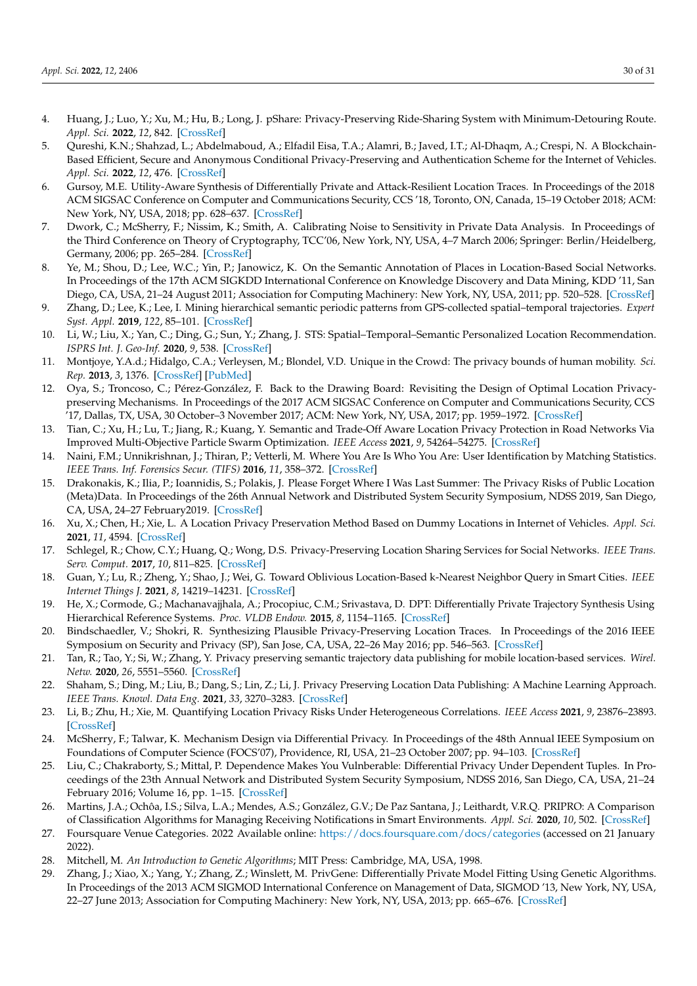- <span id="page-29-0"></span>4. Huang, J.; Luo, Y.; Xu, M.; Hu, B.; Long, J. pShare: Privacy-Preserving Ride-Sharing System with Minimum-Detouring Route. *Appl. Sci.* **2022**, *12*, 842. [\[CrossRef\]](http://dx.doi.org/10.3390/app12020842)
- <span id="page-29-1"></span>5. Qureshi, K.N.; Shahzad, L.; Abdelmaboud, A.; Elfadil Eisa, T.A.; Alamri, B.; Javed, I.T.; Al-Dhaqm, A.; Crespi, N. A Blockchain-Based Efficient, Secure and Anonymous Conditional Privacy-Preserving and Authentication Scheme for the Internet of Vehicles. *Appl. Sci.* **2022**, *12*, 476. [\[CrossRef\]](http://dx.doi.org/10.3390/app12010476)
- <span id="page-29-2"></span>6. Gursoy, M.E. Utility-Aware Synthesis of Differentially Private and Attack-Resilient Location Traces. In Proceedings of the 2018 ACM SIGSAC Conference on Computer and Communications Security, CCS '18, Toronto, ON, Canada, 15–19 October 2018; ACM: New York, NY, USA, 2018; pp. 628–637. [\[CrossRef\]](http://dx.doi.org/10.1145/2382196.2382262)
- <span id="page-29-3"></span>7. Dwork, C.; McSherry, F.; Nissim, K.; Smith, A. Calibrating Noise to Sensitivity in Private Data Analysis. In Proceedings of the Third Conference on Theory of Cryptography, TCC'06, New York, NY, USA, 4–7 March 2006; Springer: Berlin/Heidelberg, Germany, 2006; pp. 265–284. [\[CrossRef\]](http://dx.doi.org/10.1007/11681878_14)
- <span id="page-29-4"></span>8. Ye, M.; Shou, D.; Lee, W.C.; Yin, P.; Janowicz, K. On the Semantic Annotation of Places in Location-Based Social Networks. In Proceedings of the 17th ACM SIGKDD International Conference on Knowledge Discovery and Data Mining, KDD '11, San Diego, CA, USA, 21–24 August 2011; Association for Computing Machinery: New York, NY, USA, 2011; pp. 520–528. [\[CrossRef\]](http://dx.doi.org/10.1145/2020408.2020491)
- <span id="page-29-5"></span>9. Zhang, D.; Lee, K.; Lee, I. Mining hierarchical semantic periodic patterns from GPS-collected spatial–temporal trajectories. *Expert Syst. Appl.* **2019**, *122*, 85–101. [\[CrossRef\]](http://dx.doi.org/10.1016/j.eswa.2018.12.047)
- <span id="page-29-6"></span>10. Li, W.; Liu, X.; Yan, C.; Ding, G.; Sun, Y.; Zhang, J. STS: Spatial–Temporal–Semantic Personalized Location Recommendation. *ISPRS Int. J. Geo-Inf.* **2020**, *9*, 538. [\[CrossRef\]](http://dx.doi.org/10.3390/ijgi9090538)
- <span id="page-29-7"></span>11. Montjoye, Y.A.d.; Hidalgo, C.A.; Verleysen, M.; Blondel, V.D. Unique in the Crowd: The privacy bounds of human mobility. *Sci. Rep.* **2013**, *3*, 1376. [\[CrossRef\]](http://dx.doi.org/10.1038/srep01376) [\[PubMed\]](http://www.ncbi.nlm.nih.gov/pubmed/23524645)
- <span id="page-29-8"></span>12. Oya, S.; Troncoso, C.; Pérez-González, F. Back to the Drawing Board: Revisiting the Design of Optimal Location Privacypreserving Mechanisms. In Proceedings of the 2017 ACM SIGSAC Conference on Computer and Communications Security, CCS '17, Dallas, TX, USA, 30 October–3 November 2017; ACM: New York, NY, USA, 2017; pp. 1959–1972. [\[CrossRef\]](http://dx.doi.org/10.1145/3133956.3134004)
- <span id="page-29-9"></span>13. Tian, C.; Xu, H.; Lu, T.; Jiang, R.; Kuang, Y. Semantic and Trade-Off Aware Location Privacy Protection in Road Networks Via Improved Multi-Objective Particle Swarm Optimization. *IEEE Access* **2021**, *9*, 54264–54275. [\[CrossRef\]](http://dx.doi.org/10.1109/ACCESS.2021.3071407)
- <span id="page-29-10"></span>14. Naini, F.M.; Unnikrishnan, J.; Thiran, P.; Vetterli, M. Where You Are Is Who You Are: User Identification by Matching Statistics. *IEEE Trans. Inf. Forensics Secur. (TIFS)* **2016**, *11*, 358–372. [\[CrossRef\]](http://dx.doi.org/10.1109/TIFS.2015.2498131)
- <span id="page-29-11"></span>15. Drakonakis, K.; Ilia, P.; Ioannidis, S.; Polakis, J. Please Forget Where I Was Last Summer: The Privacy Risks of Public Location (Meta)Data. In Proceedings of the 26th Annual Network and Distributed System Security Symposium, NDSS 2019, San Diego, CA, USA, 24–27 February2019. [\[CrossRef\]](http://dx.doi.org/10.14722/ndss.2019.23151)
- <span id="page-29-12"></span>16. Xu, X.; Chen, H.; Xie, L. A Location Privacy Preservation Method Based on Dummy Locations in Internet of Vehicles. *Appl. Sci.* **2021**, *11*, 4594. [\[CrossRef\]](http://dx.doi.org/10.3390/app11104594)
- <span id="page-29-13"></span>17. Schlegel, R.; Chow, C.Y.; Huang, Q.; Wong, D.S. Privacy-Preserving Location Sharing Services for Social Networks. *IEEE Trans. Serv. Comput.* **2017**, *10*, 811–825. [\[CrossRef\]](http://dx.doi.org/10.1109/TSC.2016.2514338)
- <span id="page-29-14"></span>18. Guan, Y.; Lu, R.; Zheng, Y.; Shao, J.; Wei, G. Toward Oblivious Location-Based k-Nearest Neighbor Query in Smart Cities. *IEEE Internet Things J.* **2021**, *8*, 14219–14231. [\[CrossRef\]](http://dx.doi.org/10.1109/JIOT.2021.3068859)
- <span id="page-29-15"></span>19. He, X.; Cormode, G.; Machanavajjhala, A.; Procopiuc, C.M.; Srivastava, D. DPT: Differentially Private Trajectory Synthesis Using Hierarchical Reference Systems. *Proc. VLDB Endow.* **2015**, *8*, 1154–1165. [\[CrossRef\]](http://dx.doi.org/10.14778/2809974.2809978)
- <span id="page-29-16"></span>20. Bindschaedler, V.; Shokri, R. Synthesizing Plausible Privacy-Preserving Location Traces. In Proceedings of the 2016 IEEE Symposium on Security and Privacy (SP), San Jose, CA, USA, 22–26 May 2016; pp. 546–563. [\[CrossRef\]](http://dx.doi.org/10.1109/SP.2016.39)
- <span id="page-29-17"></span>21. Tan, R.; Tao, Y.; Si, W.; Zhang, Y. Privacy preserving semantic trajectory data publishing for mobile location-based services. *Wirel. Netw.* **2020**, *26*, 5551–5560. [\[CrossRef\]](http://dx.doi.org/10.1007/s11276-019-02058-8)
- <span id="page-29-18"></span>22. Shaham, S.; Ding, M.; Liu, B.; Dang, S.; Lin, Z.; Li, J. Privacy Preserving Location Data Publishing: A Machine Learning Approach. *IEEE Trans. Knowl. Data Eng.* **2021**, *33*, 3270–3283. [\[CrossRef\]](http://dx.doi.org/10.1109/TKDE.2020.2964658)
- <span id="page-29-19"></span>23. Li, B.; Zhu, H.; Xie, M. Quantifying Location Privacy Risks Under Heterogeneous Correlations. *IEEE Access* **2021**, *9*, 23876–23893. [\[CrossRef\]](http://dx.doi.org/10.1109/ACCESS.2021.3056152)
- <span id="page-29-20"></span>24. McSherry, F.; Talwar, K. Mechanism Design via Differential Privacy. In Proceedings of the 48th Annual IEEE Symposium on Foundations of Computer Science (FOCS'07), Providence, RI, USA, 21–23 October 2007; pp. 94–103. [\[CrossRef\]](http://dx.doi.org/10.1109/FOCS.2007.66)
- <span id="page-29-21"></span>25. Liu, C.; Chakraborty, S.; Mittal, P. Dependence Makes You Vulnberable: Differential Privacy Under Dependent Tuples. In Proceedings of the 23th Annual Network and Distributed System Security Symposium, NDSS 2016, San Diego, CA, USA, 21–24 February 2016; Volume 16, pp. 1–15. [\[CrossRef\]](http://dx.doi.org/10.14722/ndss.2016.23279)
- <span id="page-29-22"></span>26. Martins, J.A.; Ochôa, I.S.; Silva, L.A.; Mendes, A.S.; González, G.V.; De Paz Santana, J.; Leithardt, V.R.Q. PRIPRO: A Comparison of Classification Algorithms for Managing Receiving Notifications in Smart Environments. *Appl. Sci.* **2020**, *10*, 502. [\[CrossRef\]](http://dx.doi.org/10.3390/app10020502)
- <span id="page-29-23"></span>27. Foursquare Venue Categories. 2022 Available online: <https://docs.foursquare.com/docs/categories> (accessed on 21 January 2022).
- <span id="page-29-24"></span>28. Mitchell, M. *An Introduction to Genetic Algorithms*; MIT Press: Cambridge, MA, USA, 1998.
- <span id="page-29-25"></span>29. Zhang, J.; Xiao, X.; Yang, Y.; Zhang, Z.; Winslett, M. PrivGene: Differentially Private Model Fitting Using Genetic Algorithms. In Proceedings of the 2013 ACM SIGMOD International Conference on Management of Data, SIGMOD '13, New York, NY, USA, 22–27 June 2013; Association for Computing Machinery: New York, NY, USA, 2013; pp. 665–676. [\[CrossRef\]](http://dx.doi.org/10.1145/2463676.2465330)